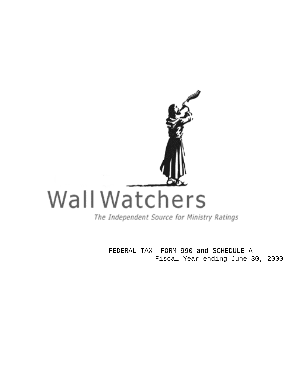

FEDERAL TAX FORM 990 and SCHEDULE A Fiscal Year ending June 30, 2000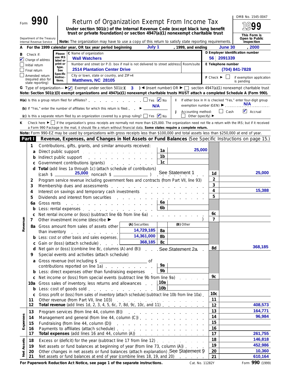|            |                |                                                                                                                                                                                                           |                     |                                                                                                                                                                                                                                                                                     |                                                  |                              |                 |                                                                                                                                                                                                                               |                                       |                    | OMB No. 1545-0047                                           |
|------------|----------------|-----------------------------------------------------------------------------------------------------------------------------------------------------------------------------------------------------------|---------------------|-------------------------------------------------------------------------------------------------------------------------------------------------------------------------------------------------------------------------------------------------------------------------------------|--------------------------------------------------|------------------------------|-----------------|-------------------------------------------------------------------------------------------------------------------------------------------------------------------------------------------------------------------------------|---------------------------------------|--------------------|-------------------------------------------------------------|
| Form       |                |                                                                                                                                                                                                           |                     | <b>Return of Organization Exempt From Income Tax</b>                                                                                                                                                                                                                                |                                                  |                              |                 |                                                                                                                                                                                                                               |                                       |                    |                                                             |
|            |                |                                                                                                                                                                                                           |                     | Under section 501(c) of the Internal Revenue Code (except black lung benefit<br>trust or private foundation) or section 4947(a)(1) nonexempt charitable trust                                                                                                                       |                                                  |                              |                 |                                                                                                                                                                                                                               |                                       |                    |                                                             |
|            |                | Department of the Treasury                                                                                                                                                                                |                     |                                                                                                                                                                                                                                                                                     |                                                  |                              |                 |                                                                                                                                                                                                                               |                                       |                    | This Form is<br>Open to Public                              |
| А          |                | Internal Revenue Service                                                                                                                                                                                  |                     | Note: The organization may have to use a copy of this return to satisfy state reporting requirements.<br>For the 1999 calendar year, OR tax year period beginning                                                                                                                   |                                                  | July 1                       |                 | , 1999, and ending                                                                                                                                                                                                            |                                       | June 30            | Inspection<br>2000                                          |
| в          | Check if:      |                                                                                                                                                                                                           | Please              | C Name of organization                                                                                                                                                                                                                                                              |                                                  |                              |                 |                                                                                                                                                                                                                               |                                       |                    | D Employer identification number                            |
|            |                | Change of address                                                                                                                                                                                         | use IRS<br>label or | <b>Wall Watchers</b>                                                                                                                                                                                                                                                                |                                                  |                              |                 |                                                                                                                                                                                                                               |                                       | 56 2091339         |                                                             |
|            | Initial return |                                                                                                                                                                                                           | print or<br>type.   | Number and street (or P.O. box if mail is not delivered to street address) Room/suite                                                                                                                                                                                               |                                                  |                              |                 |                                                                                                                                                                                                                               |                                       | E Telephone number |                                                             |
|            | Final return   |                                                                                                                                                                                                           | See<br>Specific     | <b>2514 Plantation Center Drive</b>                                                                                                                                                                                                                                                 |                                                  |                              |                 |                                                                                                                                                                                                                               |                                       |                    | (704) 841-7828                                              |
|            |                | Amended return<br>(required also for<br>state reporting)                                                                                                                                                  | Instruc-<br>tions.  | City or town, state or country, and ZIP+4<br>Matthews, NC 28105                                                                                                                                                                                                                     |                                                  |                              |                 |                                                                                                                                                                                                                               | $F$ Check $\blacktriangleright$       |                    | if exemption application<br>is pending                      |
|            |                |                                                                                                                                                                                                           |                     | Note: Section 501(c)(3) exempt organizations and 4947(a)(1) nonexempt charitable trusts MUST attach a completed Schedule A (Form 990).                                                                                                                                              |                                                  |                              |                 |                                                                                                                                                                                                                               |                                       |                    |                                                             |
|            |                |                                                                                                                                                                                                           |                     | $H(a)$ is this a group return filed for affiliates?                                                                                                                                                                                                                                 |                                                  | $\Box$ Yes $\blacksquare$ No |                 |                                                                                                                                                                                                                               |                                       |                    | If either box in H is checked "Yes," enter four-digit group |
|            |                |                                                                                                                                                                                                           |                     | (b) If "Yes," enter the number of affiliates for which this return is filed:                                                                                                                                                                                                        |                                                  | N/A                          |                 | exemption number (GEN) ▶                                                                                                                                                                                                      |                                       |                    | <b>N/A</b>                                                  |
|            |                |                                                                                                                                                                                                           |                     |                                                                                                                                                                                                                                                                                     |                                                  |                              |                 | Accounting method:<br>J                                                                                                                                                                                                       | Other (specify) $\blacktriangleright$ | $\Box$ Cash        | $\triangleright$ Accrual                                    |
| ĸ          |                |                                                                                                                                                                                                           |                     | (c) Is this a separate return filed by an organization covered by a group ruling? ■ Yes ■ No<br>Check here $\blacktriangleright$ if the organization's gross receipts are normally not more than \$25,000. The organization need not file a return with the IRS; but if it received |                                                  |                              |                 |                                                                                                                                                                                                                               |                                       |                    |                                                             |
|            |                |                                                                                                                                                                                                           |                     | a Form 990 Package in the mail, it should file a return without financial data. Some states require a complete return.                                                                                                                                                              |                                                  |                              |                 |                                                                                                                                                                                                                               |                                       |                    |                                                             |
|            |                |                                                                                                                                                                                                           |                     | Note: Form 990-EZ may be used by organizations with gross receipts less than \$100,000 and total assets less than \$250,000 at end of year.                                                                                                                                         |                                                  |                              |                 |                                                                                                                                                                                                                               |                                       |                    |                                                             |
|            | Part I         |                                                                                                                                                                                                           |                     | Revenue, Expenses, and Changes in Net Assets or Fund Balances (See Specific Instructions on page 15.)                                                                                                                                                                               |                                                  |                              |                 |                                                                                                                                                                                                                               |                                       |                    |                                                             |
|            | 1              |                                                                                                                                                                                                           |                     | Contributions, gifts, grants, and similar amounts received:                                                                                                                                                                                                                         |                                                  |                              |                 |                                                                                                                                                                                                                               |                                       |                    |                                                             |
|            | a              |                                                                                                                                                                                                           |                     | Direct public support entertainment of the state of the state of the state of the state of the state of the state of the state of the state of the state of the state of the state of the state of the state of the state of t                                                      |                                                  |                              | 1a<br>1b        | 25,000                                                                                                                                                                                                                        |                                       |                    |                                                             |
|            |                | Indirect public support                                                                                                                                                                                   |                     | <u>.</u>                                                                                                                                                                                                                                                                            |                                                  |                              | 1 <sub>c</sub>  |                                                                                                                                                                                                                               |                                       |                    |                                                             |
|            | d              |                                                                                                                                                                                                           |                     | Government contributions (grants)<br>Total (add lines 1a through 1c) (attach schedule of contributors)                                                                                                                                                                              | .                                                |                              |                 |                                                                                                                                                                                                                               |                                       |                    |                                                             |
|            |                | (cash \$ __                                                                                                                                                                                               |                     |                                                                                                                                                                                                                                                                                     |                                                  |                              |                 | See Statement 1                                                                                                                                                                                                               | 1d                                    |                    | 25,000                                                      |
|            | 2              | Program service revenue including government fees and contracts (from Part VII, line 93)<br>Membership dues and assessments entitled and a series of the series of the matter of the matter of the matter |                     |                                                                                                                                                                                                                                                                                     |                                                  |                              |                 | $\overline{2}$                                                                                                                                                                                                                |                                       |                    |                                                             |
|            | 3              |                                                                                                                                                                                                           |                     |                                                                                                                                                                                                                                                                                     |                                                  |                              |                 | 3                                                                                                                                                                                                                             |                                       |                    |                                                             |
|            | 4              |                                                                                                                                                                                                           |                     | Interest on savings and temporary cash investments                                                                                                                                                                                                                                  |                                                  |                              |                 |                                                                                                                                                                                                                               | 4                                     |                    | 15,388                                                      |
|            | 5              |                                                                                                                                                                                                           |                     | Dividends and interest from securities                                                                                                                                                                                                                                              | and the company of the company of the company of |                              |                 |                                                                                                                                                                                                                               | 5                                     |                    |                                                             |
|            | 6a             | Gross rents                                                                                                                                                                                               |                     | the contract of the contract of the contract of the contract of the contract of the contract of the contract of                                                                                                                                                                     |                                                  |                              | 6a              |                                                                                                                                                                                                                               |                                       |                    |                                                             |
|            |                |                                                                                                                                                                                                           |                     | Less: rental expenses                                                                                                                                                                                                                                                               |                                                  |                              | 6 <sub>b</sub>  |                                                                                                                                                                                                                               |                                       |                    |                                                             |
|            | c<br>7         |                                                                                                                                                                                                           |                     | Net rental income or (loss) (subtract line 6b from line 6a)<br>Other investment income (describe ▶                                                                                                                                                                                  |                                                  |                              |                 |                                                                                                                                                                                                                               | 6c<br>7                               |                    |                                                             |
| yenue      |                |                                                                                                                                                                                                           |                     | 8a Gross amount from sales of assets other                                                                                                                                                                                                                                          | (A) Securities                                   |                              |                 | (B) Other                                                                                                                                                                                                                     |                                       |                    |                                                             |
| ۵è         |                |                                                                                                                                                                                                           |                     | than inventory                                                                                                                                                                                                                                                                      |                                                  | 14,729,185                   | 8a              |                                                                                                                                                                                                                               |                                       |                    |                                                             |
|            |                |                                                                                                                                                                                                           |                     | <b>b</b> Less: cost or other basis and sales expenses.                                                                                                                                                                                                                              |                                                  | 14,361,000                   | 8b              |                                                                                                                                                                                                                               |                                       |                    |                                                             |
|            |                |                                                                                                                                                                                                           |                     | c Gain or (loss) (attach schedule)                                                                                                                                                                                                                                                  |                                                  | 368,185                      | 8c              |                                                                                                                                                                                                                               |                                       |                    |                                                             |
|            | d              |                                                                                                                                                                                                           |                     | Net gain or (loss) (combine line 8c, columns (A) and (B))                                                                                                                                                                                                                           |                                                  |                              |                 | . See Statement 2a.                                                                                                                                                                                                           | 8d                                    |                    | 368,185                                                     |
|            | 9              |                                                                                                                                                                                                           |                     | Special events and activities (attach schedule)                                                                                                                                                                                                                                     |                                                  |                              |                 |                                                                                                                                                                                                                               |                                       |                    |                                                             |
|            | a              |                                                                                                                                                                                                           |                     | Gross revenue (not including \$                                                                                                                                                                                                                                                     |                                                  |                              | 9а              |                                                                                                                                                                                                                               |                                       |                    |                                                             |
|            |                |                                                                                                                                                                                                           |                     | contributions reported on line 1a)<br>Less: direct expenses other than fundraising expenses                                                                                                                                                                                         |                                                  |                              | 9b              |                                                                                                                                                                                                                               |                                       |                    |                                                             |
|            | b              |                                                                                                                                                                                                           |                     | c Net income or (loss) from special events (subtract line 9b from line 9a)                                                                                                                                                                                                          |                                                  |                              |                 | and a state                                                                                                                                                                                                                   | 9с                                    |                    |                                                             |
|            | 10a            |                                                                                                                                                                                                           |                     | Gross sales of inventory, less returns and allowances                                                                                                                                                                                                                               |                                                  |                              | 10a             |                                                                                                                                                                                                                               |                                       |                    |                                                             |
|            | b              |                                                                                                                                                                                                           |                     | Less: cost of goods sold entitled and the set of goods sold                                                                                                                                                                                                                         |                                                  |                              | 10 <sub>b</sub> |                                                                                                                                                                                                                               |                                       |                    |                                                             |
|            | C              |                                                                                                                                                                                                           |                     | Gross profit or (loss) from sales of inventory (attach schedule) (subtract line 10b from line 10a).                                                                                                                                                                                 |                                                  |                              |                 |                                                                                                                                                                                                                               | 10 <sub>c</sub>                       |                    |                                                             |
|            | 11             |                                                                                                                                                                                                           |                     | Other revenue (from Part VII, line 103)                                                                                                                                                                                                                                             |                                                  |                              |                 |                                                                                                                                                                                                                               | 11                                    |                    |                                                             |
|            | 12             |                                                                                                                                                                                                           |                     | Total revenue (add lines 1d, 2, 3, 4, 5, 6c, 7, 8d, 9c, 10c, and 11)                                                                                                                                                                                                                |                                                  |                              |                 |                                                                                                                                                                                                                               | 12                                    |                    | 408,573                                                     |
|            | 13             |                                                                                                                                                                                                           |                     | Program services (from line 44, column (B))                                                                                                                                                                                                                                         |                                                  |                              |                 | a construction of the construction of the construction of the construction of the construction of the construction of the construction of the construction of the construction of the construction of the construction of the | 13<br>14                              |                    | 164,771<br>96,984                                           |
| Expenses   | 14             |                                                                                                                                                                                                           |                     | Management and general (from line 44, column (C))<br>Fundraising (from line 44, column (D))                                                                                                                                                                                         |                                                  |                              |                 |                                                                                                                                                                                                                               | 15                                    |                    |                                                             |
|            | 15<br>16       |                                                                                                                                                                                                           |                     | Payments to affiliates (attach schedule)                                                                                                                                                                                                                                            |                                                  |                              |                 | and a series of the contract of the contract of the                                                                                                                                                                           | 16                                    |                    |                                                             |
|            | 17             |                                                                                                                                                                                                           |                     | Total expenses (add lines 16 and 44, column (A))                                                                                                                                                                                                                                    |                                                  |                              |                 |                                                                                                                                                                                                                               | 17                                    |                    | 261,755                                                     |
|            | 18             |                                                                                                                                                                                                           |                     | Excess or (deficit) for the year (subtract line 17 from line 12)                                                                                                                                                                                                                    |                                                  |                              |                 |                                                                                                                                                                                                                               | 18                                    |                    | 146,818                                                     |
|            | 19             |                                                                                                                                                                                                           |                     | Net assets or fund balances at beginning of year (from line 73, column (A))                                                                                                                                                                                                         |                                                  |                              |                 |                                                                                                                                                                                                                               | 19                                    |                    | 452,986                                                     |
| Net Assets | 20             |                                                                                                                                                                                                           |                     | Other changes in net assets or fund balances (attach explanation) See Statement 9                                                                                                                                                                                                   |                                                  |                              |                 |                                                                                                                                                                                                                               | 20                                    |                    | 10,360                                                      |
|            | 21             |                                                                                                                                                                                                           |                     | Net assets or fund balances at end of year (combine lines 18, 19, and 20)                                                                                                                                                                                                           |                                                  |                              |                 |                                                                                                                                                                                                                               | 21                                    |                    | 610.164                                                     |

**For Paperwork Reduction Act Notice, see page 1 of the separate instructions.** Cat. No. 11282Y Form 990 (1999)

**21** Net assets or fund balances at end of year (combine lines 18, 19, and 20) **21**

**610,164**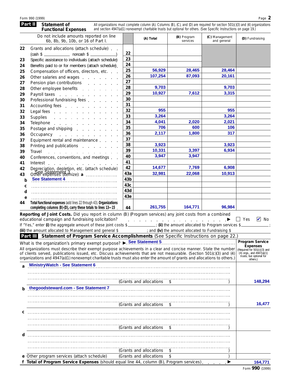| Part II | Statement of<br><b>Functional Expenses</b>                                                                                                                                                                                                 |                 | All organizations must complete column (A). Columns (B), (C), and (D) are required for section 501(c)(3) and (4) organizations<br>and section 4947(a)(1) nonexempt charitable trusts but optional for others. (See Specific Instructions on page 19.) |                         |                               |                                                                                 |
|---------|--------------------------------------------------------------------------------------------------------------------------------------------------------------------------------------------------------------------------------------------|-----------------|-------------------------------------------------------------------------------------------------------------------------------------------------------------------------------------------------------------------------------------------------------|-------------------------|-------------------------------|---------------------------------------------------------------------------------|
|         | Do not include amounts reported on line<br>6b, 8b, 9b, 10b, or 16 of Part I.                                                                                                                                                               |                 | (A) Total                                                                                                                                                                                                                                             | (B) Program<br>services | (C) Management<br>and general | (D) Fundraising                                                                 |
| 22      | Grants and allocations (attach schedule).                                                                                                                                                                                                  |                 |                                                                                                                                                                                                                                                       |                         |                               |                                                                                 |
|         | $(cash $ \_$ noncash $$ \_$                                                                                                                                                                                                                | 22              |                                                                                                                                                                                                                                                       |                         |                               |                                                                                 |
| 23      | Specific assistance to individuals (attach schedule)                                                                                                                                                                                       | 23              |                                                                                                                                                                                                                                                       |                         |                               |                                                                                 |
| 24      | Benefits paid to or for members (attach schedule).                                                                                                                                                                                         | 24              |                                                                                                                                                                                                                                                       |                         |                               |                                                                                 |
| 25      | Compensation of officers, directors, etc.                                                                                                                                                                                                  | 25              | 56,929                                                                                                                                                                                                                                                | 28,465                  | 28,464                        |                                                                                 |
| 26      | Other salaries and wages                                                                                                                                                                                                                   | 26              | 107,254                                                                                                                                                                                                                                               | 87,093                  | 20,161                        |                                                                                 |
| 27      | Pension plan contributions extension provided a series of the series of the series of the Pension Pension and Pension and Pension and Pension and Pension and Pension and Pension and Pension and Pension and Pension and Pens             | 27              |                                                                                                                                                                                                                                                       |                         |                               |                                                                                 |
| 28      | Other employee benefits extracts and the control of the control of the control of the control of the control o                                                                                                                             | 28              | 9,703                                                                                                                                                                                                                                                 |                         | 9,703                         |                                                                                 |
| 29      | Payroll taxes                                                                                                                                                                                                                              | 29              | 10,927                                                                                                                                                                                                                                                | 7,612                   | 3,315                         |                                                                                 |
| 30      | Professional fundraising fees                                                                                                                                                                                                              | 30              |                                                                                                                                                                                                                                                       |                         |                               |                                                                                 |
| 31      | Accounting fees                                                                                                                                                                                                                            | 31              |                                                                                                                                                                                                                                                       |                         |                               |                                                                                 |
| 32      | Legal fees                                                                                                                                                                                                                                 | 32              | 955                                                                                                                                                                                                                                                   |                         | 955                           |                                                                                 |
| 33      | Supplies                                                                                                                                                                                                                                   | 33              | 3,264                                                                                                                                                                                                                                                 |                         | 3,264                         |                                                                                 |
| 34      | Telephone                                                                                                                                                                                                                                  | 34              | 4,041                                                                                                                                                                                                                                                 | 2,020                   | 2,021                         |                                                                                 |
| 35      | Postage and shipping enter the state of the state of the state of the state of the state of the state of the state of the state of the state of the state of the state of the state of the state of the state of the state of              | 35              | 706                                                                                                                                                                                                                                                   | 600                     | 106                           |                                                                                 |
| 36      | Occupancy experience and a series of the series of the series of the series of the series of the series of the                                                                                                                             | 36              | 2,117                                                                                                                                                                                                                                                 | 1,800                   | 317                           |                                                                                 |
| 37      | Equipment rental and maintenance.                                                                                                                                                                                                          | 37              |                                                                                                                                                                                                                                                       |                         |                               |                                                                                 |
| 38      | Printing and publications extended a material of the state of the state of the state of the state of the state                                                                                                                             | 38              | 3,923                                                                                                                                                                                                                                                 |                         | 3,923                         |                                                                                 |
| 39      | Travel                                                                                                                                                                                                                                     | 39              | 10,331                                                                                                                                                                                                                                                | 3,397                   | 6,934                         |                                                                                 |
| 40      | Conferences, conventions, and meetings                                                                                                                                                                                                     | 40              | 3,947                                                                                                                                                                                                                                                 | 3,947                   |                               |                                                                                 |
| 41      | Interest                                                                                                                                                                                                                                   | 41              |                                                                                                                                                                                                                                                       |                         |                               |                                                                                 |
| 42      | Depreciation, depletion, etc. (attach schedule)                                                                                                                                                                                            | 42              | 14,677                                                                                                                                                                                                                                                | 7,769                   | 6,908                         |                                                                                 |
| 43      | Other expenses (itemize): a                                                                                                                                                                                                                | 43a             | 32,981                                                                                                                                                                                                                                                | 22,068                  | 10,913                        |                                                                                 |
| b       | <b>See Statement 4</b>                                                                                                                                                                                                                     | 43 <sub>b</sub> |                                                                                                                                                                                                                                                       |                         |                               |                                                                                 |
|         |                                                                                                                                                                                                                                            | 43c             |                                                                                                                                                                                                                                                       |                         |                               |                                                                                 |
| c       |                                                                                                                                                                                                                                            | 43d             |                                                                                                                                                                                                                                                       |                         |                               |                                                                                 |
| d       |                                                                                                                                                                                                                                            | 43e             |                                                                                                                                                                                                                                                       |                         |                               |                                                                                 |
| e<br>44 | Total functional expenses (add lines 22 through 43). Organizations                                                                                                                                                                         |                 |                                                                                                                                                                                                                                                       |                         |                               |                                                                                 |
|         | completing columns (B)-(D), carry these totals to lines 13-15.                                                                                                                                                                             | 44              | 261,755                                                                                                                                                                                                                                               | 164,771                 | 96,984                        |                                                                                 |
|         | Reporting of Joint Costs. Did you report in column (B) (Program services) any joint costs from a combined                                                                                                                                  |                 |                                                                                                                                                                                                                                                       |                         |                               |                                                                                 |
|         | educational campaign and fundraising solicitation?                                                                                                                                                                                         |                 | $\mathcal{L}$ , and the set of the set of the set of the set of the set of the $\mathcal{L}$                                                                                                                                                          |                         |                               | $\vee$ No<br>$\Box$ Yes                                                         |
|         | If "Yes," enter (i) the aggregate amount of these joint costs \$________; (ii) the amount allocated to Program services \$_______                                                                                                          |                 |                                                                                                                                                                                                                                                       |                         |                               |                                                                                 |
|         | (iii) the amount allocated to Management and general \$                                                                                                                                                                                    |                 | ; and (iv) the amount allocated to Fundraising \$                                                                                                                                                                                                     |                         |                               |                                                                                 |
|         | Part III Statement of Program Service Accomplishments (See Specific Instructions on page 22.)                                                                                                                                              |                 |                                                                                                                                                                                                                                                       |                         |                               |                                                                                 |
|         | What is the organization's primary exempt purpose? L. See Statement 5                                                                                                                                                                      |                 |                                                                                                                                                                                                                                                       |                         |                               | Program Service                                                                 |
|         | All organizations must describe their exempt purpose achievements in a clear and concise manner. State the number<br>of clients served, publications issued, etc. Discuss achievements that are not measurable. (Section 501(c)(3) and (4) |                 |                                                                                                                                                                                                                                                       |                         |                               | <b>Expenses</b><br>(Required for $501(c)(3)$ and<br>(4) orgs., and $4947(a)(1)$ |
|         | organizations and 4947(a)(1) nonexempt charitable trusts must also enter the amount of grants and allocations to others.)                                                                                                                  |                 |                                                                                                                                                                                                                                                       |                         |                               | trusts; but optional for                                                        |

**MinistryWatch - See Statement 6 a 148,294** (Grants and allocations \$ ) **thegoodsteward.com - See Statement 7 b**  $\sim$ **16,477** (Grants and allocations \$ **c**  $\sim$ (Grants and allocations \$ **d** (Grants and allocations \$ ) (Grants and allocations \$ ) Other program services (attach schedule) **e 164,771 Total of Program Service Expenses** (should equal line 44, column (B), Program services) **f**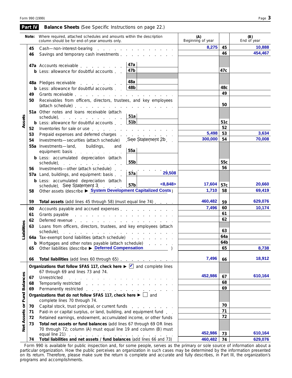|                      | Part IV | <b>Balance Sheets</b> (See Specific Instructions on page 22.)                                                                                                                                                                  |                                                       |                          |            |                    |
|----------------------|---------|--------------------------------------------------------------------------------------------------------------------------------------------------------------------------------------------------------------------------------|-------------------------------------------------------|--------------------------|------------|--------------------|
|                      | Note:   | Where required, attached schedules and amounts within the description<br>column should be for end-of-year amounts only.                                                                                                        |                                                       | (A)<br>Beginning of year |            | (B)<br>End of year |
|                      | 45      | Cash-non-interest-bearing<br>and the contract of the contract of the contract of                                                                                                                                               | 8,275                                                 | 45                       | 10,888     |                    |
|                      | 46      |                                                                                                                                                                                                                                |                                                       | 46                       | 454,467    |                    |
|                      |         | 47a Accounts receivable                                                                                                                                                                                                        | 47a                                                   |                          |            |                    |
|                      |         | <b>b</b> Less: allowance for doubtful accounts.                                                                                                                                                                                | 47b                                                   |                          | 47c        |                    |
|                      |         | 48a Pledges receivable                                                                                                                                                                                                         | 48a                                                   |                          |            |                    |
|                      |         | and a straight and a straight<br><b>b</b> Less: allowance for doubtful accounts                                                                                                                                                | 48b                                                   |                          | 48c        |                    |
|                      | 49      |                                                                                                                                                                                                                                |                                                       |                          | 49         |                    |
|                      | 50      | Receivables from officers, directors, trustees, and key employees                                                                                                                                                              |                                                       |                          | 50         |                    |
|                      |         |                                                                                                                                                                                                                                |                                                       |                          |            |                    |
|                      |         | 51a Other notes and loans receivable (attach<br>schedule)                                                                                                                                                                      | 51a                                                   |                          |            |                    |
| Assets               |         | <b>b</b> Less: allowance for doubtful accounts                                                                                                                                                                                 | 51 <sub>b</sub>                                       |                          | 51c        |                    |
|                      | 52      | Inventories for sale or use entering the state of the state of the state of the state of the state of the state of the state of the state of the state of the state of the state of the state of the state of the state of the |                                                       |                          | 52         |                    |
|                      | 53      | Prepaid expenses and deferred charges experience and the set of the set of the set of the set of the set of the set of the set of the set of the set of the set of the set of the set of the set of the set of the set of the  |                                                       | 5,498                    | 53         | 3,634              |
|                      | 54      | Investments-securities (attach schedule)                                                                                                                                                                                       | See Statement 2b                                      | 300,000                  | 54         | 70,008             |
|                      |         | 55a Investments-land, buildings,<br>and<br>equipment: basis                                                                                                                                                                    | 55a                                                   |                          |            |                    |
|                      |         | <b>b</b> Less: accumulated depreciation (attach                                                                                                                                                                                |                                                       |                          |            |                    |
|                      |         | schedule) and the schedule of the state of the state of the state of the state of the state of the state of the state of the state of the state of the state of the state of the state of the state of the state of the state  | 55b                                                   |                          | 55c        |                    |
|                      | 56      | Investments-other (attach schedule).                                                                                                                                                                                           | and the company of the company<br>29,508              |                          | 56         |                    |
|                      |         | 57a Land, buildings, and equipment: basis                                                                                                                                                                                      | 57a                                                   |                          |            |                    |
|                      |         | <b>b</b> Less: accumulated depreciation (attach<br>schedule) See Statement 3                                                                                                                                                   | <8,848><br>57 <sub>b</sub>                            | 17,604                   | 57c        | 20,660             |
|                      | 58      | Other assets (describe > System Development Capitalized Costs)                                                                                                                                                                 |                                                       | 1,710                    | 58         | 69,419             |
|                      | 59      | Total assets (add lines 45 through 58) (must equal line 74)                                                                                                                                                                    |                                                       | 460,482                  | 59         | 629,076            |
|                      | 60      |                                                                                                                                                                                                                                |                                                       | 7,496                    | 60         | 10,174             |
|                      | 61      | Grants payable research and the contract of the contract of the contract of the contract of the contract of the contract of the contract of the contract of the contract of the contract of the contract of the contract of th |                                                       |                          | 61         |                    |
|                      | 62      |                                                                                                                                                                                                                                |                                                       |                          | 62         |                    |
| <b>Liabilities</b>   | 63      | Loans from officers, directors, trustees, and key employees (attach                                                                                                                                                            |                                                       |                          |            |                    |
|                      |         | schedule).<br>and a series of the contract of the contract of the contract of the contract of                                                                                                                                  |                                                       | 63                       |            |                    |
|                      |         | 64a Tax-exempt bond liabilities (attach schedule)<br><b>b</b> Mortgages and other notes payable (attach schedule)                                                                                                              | the control of the control of the control of the con- |                          | 64a<br>64b |                    |
|                      | 65      | Other liabilities (describe > Deferred Compensation                                                                                                                                                                            | and a strain and a                                    |                          | 65         | 8,738              |
|                      | 66      | Total liabilities (add lines 60 through 65)                                                                                                                                                                                    |                                                       | 7,496                    | 66         | 18,912             |
|                      |         | Organizations that follow SFAS 117, check here $\blacktriangleright \blacktriangleright \blacktriangleright$ and complete lines                                                                                                |                                                       |                          |            |                    |
|                      |         | 67 through 69 and lines 73 and 74.                                                                                                                                                                                             |                                                       |                          |            |                    |
|                      | 67      |                                                                                                                                                                                                                                |                                                       | 452,986                  | 67         | 610,164            |
|                      | 68      | Temporarily restricted                                                                                                                                                                                                         |                                                       |                          | 68         |                    |
|                      | 69      | Permanently restricted                                                                                                                                                                                                         |                                                       |                          | 69         |                    |
| <b>Fund Balances</b> |         | Organizations that do not follow SFAS 117, check here $\blacktriangleright \Box$ and<br>complete lines 70 through 74.                                                                                                          |                                                       |                          |            |                    |
|                      | 70      | Capital stock, trust principal, or current funds                                                                                                                                                                               | the contract of the contract of                       |                          | 70         |                    |
|                      | 71      | Paid-in or capital surplus, or land, building, and equipment fund                                                                                                                                                              |                                                       |                          | 71         |                    |
|                      | 72      | Retained earnings, endowment, accumulated income, or other funds                                                                                                                                                               |                                                       |                          | 72         |                    |
| Net Assets or        | 73      | Total net assets or fund balances (add lines 67 through 69 OR lines                                                                                                                                                            |                                                       |                          |            |                    |
|                      |         | 70 through 72; column (A) must equal line 19 and column (B) must                                                                                                                                                               |                                                       | 452,986                  | 73         | 610,164            |
|                      | 74      | Total liabilities and net assets / fund balances (add lines 66 and 73)                                                                                                                                                         |                                                       | 460,482                  | 74         | 629,076            |

Form 990 is available for public inspection and, for some people, serves as the primary or sole source of information about a particular organization. How the public perceives an organization in such cases may be determined by the information presented on its return. Therefore, please make sure the return is complete and accurate and fully describes, in Part III, the organization's programs and accomplishments.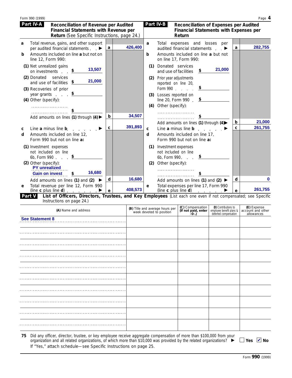|        | Form 990 (1999)                                                                                                                                    |   |         |            | Page 4                                                                                                                                                                                                     |  |
|--------|----------------------------------------------------------------------------------------------------------------------------------------------------|---|---------|------------|------------------------------------------------------------------------------------------------------------------------------------------------------------------------------------------------------------|--|
|        | Part IV-A<br>Reconciliation of Revenue per Audited<br><b>Financial Statements with Revenue per</b><br>Return (See Specific Instructions, page 24.) |   |         |            | Part IV-B<br>Reconciliation of Expenses per Audited<br><b>Financial Statements with Expenses per</b><br>Return                                                                                             |  |
| a      | Total revenue, gains, and other support<br>per audited financial statements. ▶                                                                     | a | 426,400 | a          | Total expenses and losses per<br>282,755<br>a<br>audited financial statements $\blacktriangleright$                                                                                                        |  |
| b      | Amounts included on line a but not on<br>line 12, Form 990:                                                                                        |   |         | b          | Amounts included on line a but not<br>on line 17, Form 990:                                                                                                                                                |  |
|        | (1) Net unrealized gains<br>13,507<br>on investments.                                                                                              |   |         | (1)        | Donated services<br>21,000<br>\$<br>and use of facilities                                                                                                                                                  |  |
|        | (2) Donated services<br>21,000<br>and use of facilities $\frac{\$}{}$                                                                              |   |         | (2)        | Prior year adjustments<br>reported on line 20,                                                                                                                                                             |  |
|        | (3) Recoveries of prior<br>year grants                                                                                                             |   |         | (3)        | \$<br>Form 990<br>Losses reported on                                                                                                                                                                       |  |
|        | (4) Other (specify):<br>.                                                                                                                          |   |         | (4)        | line 20, Form 990. $\frac{\$}{ }$<br>Other (specify):<br>.                                                                                                                                                 |  |
|        | Add amounts on lines (1) through (4) $\blacktriangleright$                                                                                         | b | 34,507  |            | .                                                                                                                                                                                                          |  |
| c<br>d | Line a minus line b.<br>Amounts included on line 12,<br>Form 990 but not on line a:                                                                | c | 391,893 | C<br>d     | 21,000<br>b<br>Add amounts on lines (1) through (4)<br>261,755<br>C<br>Line a minus line $\mathsf{b}$ . $\qquad \qquad \blacktriangleright$<br>Amounts included on line 17,<br>Form 990 but not on line a: |  |
|        | (1) Investment expenses<br>not included on line<br>6b, Form 990 $\frac{\$}{2}$<br>(2) Other (specify):                                             |   |         | (1)<br>(2) | Investment expenses<br>not included on line<br>6b, Form 990. $\frac{\$}{2}$<br>Other (specify):                                                                                                            |  |
|        | <b>PY</b> unrealized<br>16,680<br><b>Gain on invest</b><br>\$                                                                                      |   |         |            |                                                                                                                                                                                                            |  |
|        | Add amounts on lines (1) and (2) $\blacktriangleright$                                                                                             | d | 16,680  |            | d<br>Add amounts on lines (1) and (2) $\blacktriangleright$                                                                                                                                                |  |
| e      | Total revenue per line 12, Form 990<br>(line c plus line d) $\qquad \qquad$                                                                        | e | 408,573 | e          | Total expenses per line 17, Form 990<br>261,755<br>(line c plus line d) $\qquad \qquad$ $\qquad \qquad$<br>e                                                                                               |  |

**List of Officers, Directors, Trustees, and Key Employees** (List each one even if not compensated; see Specific Instructions on page 24.) **Part V**

| (A) Name and address                                                                                                      | (B) Title and average hours per<br>week devoted to position | (C) Compensation<br>(If not paid, enter<br>$-0-1$ | (D) Contributions to<br>employee benefit plans &<br>deferred compensation | (E) Expense<br>account and other<br>allowances |
|---------------------------------------------------------------------------------------------------------------------------|-------------------------------------------------------------|---------------------------------------------------|---------------------------------------------------------------------------|------------------------------------------------|
| <b>See Statement 8</b>                                                                                                    |                                                             |                                                   |                                                                           |                                                |
|                                                                                                                           |                                                             |                                                   |                                                                           |                                                |
|                                                                                                                           |                                                             |                                                   |                                                                           |                                                |
|                                                                                                                           |                                                             |                                                   |                                                                           |                                                |
|                                                                                                                           |                                                             |                                                   |                                                                           |                                                |
|                                                                                                                           |                                                             |                                                   |                                                                           |                                                |
|                                                                                                                           |                                                             |                                                   |                                                                           |                                                |
|                                                                                                                           |                                                             |                                                   |                                                                           |                                                |
|                                                                                                                           |                                                             |                                                   |                                                                           |                                                |
|                                                                                                                           |                                                             |                                                   |                                                                           |                                                |
| Did any officer, director, trustee, or key employee receive aggregate compensation of more than \$100,000 from your<br>75 |                                                             |                                                   |                                                                           |                                                |

organization and all related organizations, of which more than \$10,000 was provided by the related organizations?  $\blacktriangleright$   $\Box$  Yes  $\blacktriangleright$ If "Yes," attach schedule—see Specific Instructions on page 25.

Yes M<mark>⊿</mark> No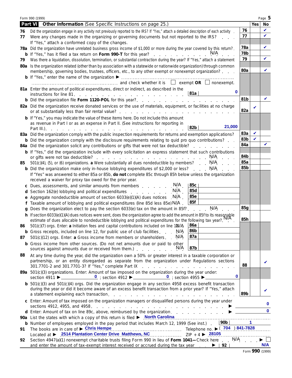|    | Form 990 (1999)                                                                                                                                                                                                                                       |            |            | Page 5       |  |  |  |  |
|----|-------------------------------------------------------------------------------------------------------------------------------------------------------------------------------------------------------------------------------------------------------|------------|------------|--------------|--|--|--|--|
|    | Part VI Other Information (See Specific Instructions on page 25.)                                                                                                                                                                                     |            | <b>Yes</b> | No           |  |  |  |  |
| 76 | Did the organization engage in any activity not previously reported to the IRS? If "Yes," attach a detailed description of each activity                                                                                                              |            |            |              |  |  |  |  |
| 77 | 77<br>Were any changes made in the organizing or governing documents but not reported to the IRS?                                                                                                                                                     |            |            |              |  |  |  |  |
|    | If "Yes," attach a conformed copy of the changes.                                                                                                                                                                                                     |            |            |              |  |  |  |  |
|    | 78a Did the organization have unrelated business gross income of \$1,000 or more during the year covered by this return?.                                                                                                                             | 78a<br>78b |            | V            |  |  |  |  |
|    | <b>b</b> If "Yes," has it filed a tax return on Form 990-T for this year?                                                                                                                                                                             | 79         |            | V            |  |  |  |  |
| 79 | Was there a liquidation, dissolution, termination, or substantial contraction during the year? If "Yes," attach a statement<br>80a Is the organization related (other than by association with a statewide or nationwide organization) through common |            |            |              |  |  |  |  |
|    | membership, governing bodies, trustees, officers, etc., to any other exempt or nonexempt organization?                                                                                                                                                | 80a        |            | V            |  |  |  |  |
|    |                                                                                                                                                                                                                                                       |            |            |              |  |  |  |  |
|    |                                                                                                                                                                                                                                                       |            |            |              |  |  |  |  |
|    | 81a Enter the amount of political expenditures, direct or indirect, as described in the<br>0                                                                                                                                                          |            |            |              |  |  |  |  |
|    | 81a                                                                                                                                                                                                                                                   |            |            |              |  |  |  |  |
|    |                                                                                                                                                                                                                                                       | 81b        |            | V            |  |  |  |  |
|    | 82a Did the organization receive donated services or the use of materials, equipment, or facilities at no charge                                                                                                                                      | 82a        | V          |              |  |  |  |  |
|    | <b>b</b> If "Yes," you may indicate the value of these items here. Do not include this amount                                                                                                                                                         |            |            |              |  |  |  |  |
|    | as revenue in Part I or as an expense in Part II. (See instructions for reporting in                                                                                                                                                                  |            |            |              |  |  |  |  |
|    | 21,000<br>82b<br>Part III.).<br>the second contract of the second contract of the second contract of the second                                                                                                                                       |            |            |              |  |  |  |  |
|    | 83a Did the organization comply with the public inspection requirements for returns and exemption applications?                                                                                                                                       | 83a        | V          |              |  |  |  |  |
|    | <b>b</b> Did the organization comply with the disclosure requirements relating to quid pro quo contributions?                                                                                                                                         | 83b        | V          |              |  |  |  |  |
|    | 84a Did the organization solicit any contributions or gifts that were not tax deductible?                                                                                                                                                             | 84a        |            |              |  |  |  |  |
|    | <b>b</b> If "Yes," did the organization include with every solicitation an express statement that such contributions<br>N/A                                                                                                                           | 84b        |            |              |  |  |  |  |
| 85 | $501(c)(4)$ , (5), or (6) organizations. a Were substantially all dues nondeductible by members? N/A                                                                                                                                                  | 85a        |            |              |  |  |  |  |
|    | <b>b</b> Did the organization make only in-house lobbying expenditures of \$2,000 or less? N/A                                                                                                                                                        | 85b        |            |              |  |  |  |  |
|    | If "Yes" was answered to either 85a or 85b, do not complete 85c through 85h below unless the organization                                                                                                                                             |            |            |              |  |  |  |  |
|    | received a waiver for proxy tax owed for the prior year.                                                                                                                                                                                              |            |            |              |  |  |  |  |
|    | c Dues, assessments, and similar amounts from members N/A<br>85c                                                                                                                                                                                      |            |            |              |  |  |  |  |
|    | 85d<br>d Section 162(e) lobbying and political expenditures extracts of N/A                                                                                                                                                                           |            |            |              |  |  |  |  |
| e  | <b>85e</b><br>Aggregate nondeductible amount of section 6033(e)(1)(A) dues notices $N/A$ .<br>85f                                                                                                                                                     |            |            |              |  |  |  |  |
|    | f Taxable amount of lobbying and political expenditures (line 85d less 85e) N/A<br>g Does the organization elect to pay the section 6033(e) tax on the amount in 85f?                                                                                 | 85g        |            |              |  |  |  |  |
|    | h If section 6033(e)(1)(A) dues notices were sent, does the organization agree to add the amount in 85f to its reasonable<br>A If section 6033(e)(1)(A) dues notices were sent, does the organization agree to add the amount in                      |            |            |              |  |  |  |  |
|    | estimate of dues allocable to nondeductible lobbying and political expenditures for the following tax year?. <sup>IN</sup>                                                                                                                            | 85h        |            |              |  |  |  |  |
| 86 | 86a<br>$501(c)(7)$ orgs. Enter: a Initiation fees and capital contributions included on line 100/A                                                                                                                                                    |            |            |              |  |  |  |  |
|    | 86b<br>N/A<br><b>b</b> Gross receipts, included on line 12, for public use of club facilities                                                                                                                                                         |            |            |              |  |  |  |  |
| 87 | 87a<br>N/A<br>501(c)(12) orgs. Enter: a Gross income from members or shareholders.                                                                                                                                                                    |            |            |              |  |  |  |  |
|    | <b>b</b> Gross income from other sources. (Do not net amounts due or paid to other<br>87b<br>N/A<br>sources against amounts due or received from them.)                                                                                               |            |            |              |  |  |  |  |
| 88 | At any time during the year, did the organization own a 50% or greater interest in a taxable corporation or                                                                                                                                           |            |            |              |  |  |  |  |
|    | partnership, or an entity disregarded as separate from the organization under Regulations sections                                                                                                                                                    | 88         |            | v            |  |  |  |  |
|    | 301.7701-2 and 301.7701-3? If "Yes," complete Part IX<br>and a series of the contract of the contract of the contract of<br>89a 501(c)(3) organizations. Enter: Amount of tax imposed on the organization during the year under:                      |            |            |              |  |  |  |  |
|    | 0                                                                                                                                                                                                                                                     |            |            |              |  |  |  |  |
|    | <b>b</b> $501(c)(3)$ and $501(c)(4)$ orgs. Did the organization engage in any section 4958 excess benefit transaction<br>during the year or did it become aware of an excess benefit transaction from a prior year? If "Yes," attach                  |            |            |              |  |  |  |  |
|    |                                                                                                                                                                                                                                                       | 89b        |            |              |  |  |  |  |
|    | c Enter: Amount of tax imposed on the organization managers or disqualified persons during the year under                                                                                                                                             |            |            |              |  |  |  |  |
|    |                                                                                                                                                                                                                                                       |            |            | $\bf{0}$     |  |  |  |  |
|    | d Enter: Amount of tax on line 89c, above, reimbursed by the organization.                                                                                                                                                                            |            |            | $\mathbf{0}$ |  |  |  |  |
|    | 90a List the states with which a copy of this return is filed > North Carolina<br> 90b                                                                                                                                                                |            |            |              |  |  |  |  |
| 91 | <b>b</b> Number of employees employed in the pay period that includes March 12, 1999 (See inst.).<br>The books are in care of $\triangleright$ Chris Hempe                                                                                            |            |            |              |  |  |  |  |
|    | Located at ▶ 2514 Plantation Center Drive Matthews, NC 70 20105                                                                                                                                                                                       |            |            |              |  |  |  |  |
| 92 | Section 4947(a)(1) nonexempt charitable trusts filing Form 990 in lieu of Form 1041-Check here . N/A                                                                                                                                                  |            |            |              |  |  |  |  |
|    | and enter the amount of tax-exempt interest received or accrued during the tax year $\blacksquare$ $\blacktriangleright$   92                                                                                                                         |            |            | N/A          |  |  |  |  |

|  |  | Form 990 (1999) |
|--|--|-----------------|
|--|--|-----------------|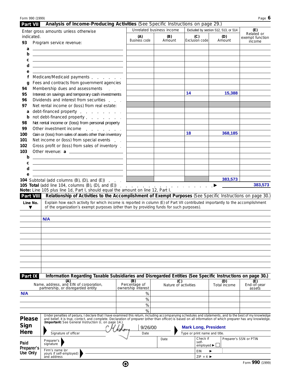| Form 990 (1999)            |                                                                                                                                                                                                                                                                                                                                                                                                                                                                                               |                                  |                             |                                                                 |                                             | Page 6                               |
|----------------------------|-----------------------------------------------------------------------------------------------------------------------------------------------------------------------------------------------------------------------------------------------------------------------------------------------------------------------------------------------------------------------------------------------------------------------------------------------------------------------------------------------|----------------------------------|-----------------------------|-----------------------------------------------------------------|---------------------------------------------|--------------------------------------|
| Part VII                   | Analysis of Income-Producing Activities (See Specific Instructions on page 29.)                                                                                                                                                                                                                                                                                                                                                                                                               |                                  |                             |                                                                 |                                             |                                      |
| indicated.                 | Enter gross amounts unless otherwise                                                                                                                                                                                                                                                                                                                                                                                                                                                          | Unrelated business income<br>(A) | (B)                         | (C)                                                             | Excluded by section 512, 513, or 514<br>(D) | (E)<br>Related or<br>exempt function |
| 93                         | Program service revenue:                                                                                                                                                                                                                                                                                                                                                                                                                                                                      | <b>Business code</b>             | Amount                      | Exclusion code                                                  | Amount                                      | income                               |
| a                          | <u> 1989 - Johann Harry Harry Harry Harry Harry Harry Harry Harry Harry Harry Harry Harry Harry Harry Harry Harry</u>                                                                                                                                                                                                                                                                                                                                                                         |                                  |                             |                                                                 |                                             |                                      |
| b                          | the control of the control of the control of the control of the control of                                                                                                                                                                                                                                                                                                                                                                                                                    |                                  |                             |                                                                 |                                             |                                      |
| С                          | <u> 1989 - Johann Stoff, deutscher Stoffen und der Stoffen und der Stoffen und der Stoffen und der Stoffen und der</u>                                                                                                                                                                                                                                                                                                                                                                        |                                  |                             |                                                                 |                                             |                                      |
| d                          | the control of the control of the control of the control of the control of the control of                                                                                                                                                                                                                                                                                                                                                                                                     |                                  |                             |                                                                 |                                             |                                      |
| e                          |                                                                                                                                                                                                                                                                                                                                                                                                                                                                                               |                                  |                             |                                                                 |                                             |                                      |
| f                          | Medicare/Medicaid payments                                                                                                                                                                                                                                                                                                                                                                                                                                                                    |                                  |                             |                                                                 |                                             |                                      |
| q<br>94                    | Fees and contracts from government agencies<br>Membership dues and assessments                                                                                                                                                                                                                                                                                                                                                                                                                |                                  |                             |                                                                 |                                             |                                      |
| 95                         | Interest on savings and temporary cash investments                                                                                                                                                                                                                                                                                                                                                                                                                                            |                                  |                             | 14                                                              | 15,388                                      |                                      |
| 96                         | Dividends and interest from securities                                                                                                                                                                                                                                                                                                                                                                                                                                                        |                                  |                             |                                                                 |                                             |                                      |
| 97                         | Net rental income or (loss) from real estate:                                                                                                                                                                                                                                                                                                                                                                                                                                                 |                                  |                             |                                                                 |                                             |                                      |
| a                          | debt-financed property                                                                                                                                                                                                                                                                                                                                                                                                                                                                        |                                  |                             |                                                                 |                                             |                                      |
| b                          | not debt-financed property                                                                                                                                                                                                                                                                                                                                                                                                                                                                    |                                  |                             |                                                                 |                                             |                                      |
| 98                         | Net rental income or (loss) from personal property                                                                                                                                                                                                                                                                                                                                                                                                                                            |                                  |                             |                                                                 |                                             |                                      |
| 99                         | Other investment income                                                                                                                                                                                                                                                                                                                                                                                                                                                                       |                                  |                             | 18                                                              | 368,185                                     |                                      |
| 100<br>101                 | Gain or (loss) from sales of assets other than inventory<br>Net income or (loss) from special events                                                                                                                                                                                                                                                                                                                                                                                          |                                  |                             |                                                                 |                                             |                                      |
| 102                        | Gross profit or (loss) from sales of inventory.                                                                                                                                                                                                                                                                                                                                                                                                                                               |                                  |                             |                                                                 |                                             |                                      |
| 103                        |                                                                                                                                                                                                                                                                                                                                                                                                                                                                                               |                                  |                             |                                                                 |                                             |                                      |
| b                          | <u> 1989 - Johann Harry Harry Harry Harry Harry Harry Harry Harry Harry Harry Harry Harry Harry Harry Harry Harry</u>                                                                                                                                                                                                                                                                                                                                                                         |                                  |                             |                                                                 |                                             |                                      |
| C                          | the control of the control of the control of the control of the control of the control of                                                                                                                                                                                                                                                                                                                                                                                                     |                                  |                             |                                                                 |                                             |                                      |
| d                          | <u> 1989 - Andrea Stadt Britain, amerikansk politik (</u>                                                                                                                                                                                                                                                                                                                                                                                                                                     |                                  |                             |                                                                 |                                             |                                      |
| е                          | 104 Subtotal (add columns $(B)$ , $(D)$ , and $(E)$ )                                                                                                                                                                                                                                                                                                                                                                                                                                         |                                  |                             |                                                                 | 383,573                                     |                                      |
| Part VIII<br>Line No.<br>▼ | 105 Total (add line 104, columns $(B)$ , $(D)$ , and $(E)$ )<br>Note: Line 105 plus line 1d, Part I, should equal the amount on line 12, Part I.<br>Relationship of Activities to the Accomplishment of Exempt Purposes (See Specific Instructions on page 30.)<br>Explain how each activity for which income is reported in column (E) of Part VII contributed importantly to the accomplishment<br>of the organization's exempt purposes (other than by providing funds for such purposes). |                                  |                             | $\mathbf{r}$ and $\mathbf{r}$ and $\mathbf{r}$ and $\mathbf{r}$ |                                             | 383,573                              |
|                            | N/A                                                                                                                                                                                                                                                                                                                                                                                                                                                                                           |                                  |                             |                                                                 |                                             |                                      |
|                            |                                                                                                                                                                                                                                                                                                                                                                                                                                                                                               |                                  |                             |                                                                 |                                             |                                      |
|                            |                                                                                                                                                                                                                                                                                                                                                                                                                                                                                               |                                  |                             |                                                                 |                                             |                                      |
|                            |                                                                                                                                                                                                                                                                                                                                                                                                                                                                                               |                                  |                             |                                                                 |                                             |                                      |
|                            |                                                                                                                                                                                                                                                                                                                                                                                                                                                                                               |                                  |                             |                                                                 |                                             |                                      |
|                            |                                                                                                                                                                                                                                                                                                                                                                                                                                                                                               |                                  |                             |                                                                 |                                             |                                      |
|                            |                                                                                                                                                                                                                                                                                                                                                                                                                                                                                               |                                  |                             |                                                                 |                                             |                                      |
|                            |                                                                                                                                                                                                                                                                                                                                                                                                                                                                                               |                                  |                             |                                                                 |                                             |                                      |
|                            |                                                                                                                                                                                                                                                                                                                                                                                                                                                                                               |                                  |                             |                                                                 |                                             |                                      |
| Part IX                    | Information Regarding Taxable Subsidiaries and Disregarded Entities (See Specific Instructions on page 30.)                                                                                                                                                                                                                                                                                                                                                                                   |                                  |                             |                                                                 |                                             |                                      |
|                            | (A)<br>Name, address, and EIN of corporation,                                                                                                                                                                                                                                                                                                                                                                                                                                                 | $\overline{B}$<br>Percentage of  | (C)<br>Nature of activities |                                                                 | (D)<br>Total income                         | (E)<br>End-of-year                   |
|                            | partnership, or disregarded entity                                                                                                                                                                                                                                                                                                                                                                                                                                                            | ownership interest               |                             |                                                                 |                                             | assets                               |
| N/A                        |                                                                                                                                                                                                                                                                                                                                                                                                                                                                                               | %                                |                             |                                                                 |                                             |                                      |
|                            |                                                                                                                                                                                                                                                                                                                                                                                                                                                                                               | %                                |                             |                                                                 |                                             |                                      |
|                            |                                                                                                                                                                                                                                                                                                                                                                                                                                                                                               | %<br>%                           |                             |                                                                 |                                             |                                      |
| <b>Please</b>              | Under penalties of perjury, I declare that I have examined this return, including accompanying schedules and statements, and to the best of my knowledge<br>and belief, it is true, correct, and complete. Declaration of preparer (other than officer) is based on all information of which preparer has any knowledge.                                                                                                                                                                      |                                  |                             |                                                                 |                                             |                                      |
| Sign                       | (Important: See General Instruction U, on page 14.)                                                                                                                                                                                                                                                                                                                                                                                                                                           | 9/26/00                          |                             |                                                                 |                                             |                                      |
| Here                       | Signature of officer                                                                                                                                                                                                                                                                                                                                                                                                                                                                          | Date                             |                             | <b>Mark Long, President</b><br>Type or print name and title.    |                                             |                                      |
|                            |                                                                                                                                                                                                                                                                                                                                                                                                                                                                                               |                                  | Date                        | Check if                                                        |                                             | Preparer's SSN or PTIN               |
| Paid                       | Preparer's<br>signature                                                                                                                                                                                                                                                                                                                                                                                                                                                                       |                                  |                             | self-<br>employed $\blacktriangleright$                         |                                             |                                      |
| Preparer's<br>Use Only     | Firm's name (or                                                                                                                                                                                                                                                                                                                                                                                                                                                                               |                                  |                             | <b>EIN</b>                                                      |                                             |                                      |
|                            | yours if self-employed)<br>and address                                                                                                                                                                                                                                                                                                                                                                                                                                                        |                                  |                             | $ZIP + 4$                                                       |                                             |                                      |
|                            |                                                                                                                                                                                                                                                                                                                                                                                                                                                                                               | ❸                                |                             |                                                                 |                                             | Form 990 (1999)                      |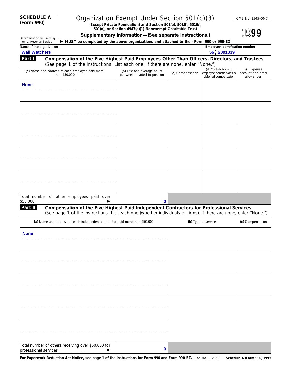| <b>SCHEDULE A</b> |  |
|-------------------|--|
| (Form 990)        |  |

# **Organization Exempt Under Section 501(c)(3)** OMB No. 1545-004

**(Form 990) (Except Private Foundation) and Section 501(e), 501(f), 501(k), 501(n), or Section 4947(a)(1) Nonexempt Charitable Trust**

**Supplementary Information—(See separate instructions.)**

|  | UIVID INU. 1949-0047 |
|--|----------------------|
|  |                      |

**1999**

| Department of the Treasury<br>Internal Revenue Service <b>  &gt; MUST be completed by the above organizations and attached to their Form 990 or 990-EZ</b> |  |  |  |
|------------------------------------------------------------------------------------------------------------------------------------------------------------|--|--|--|

| Name of the organization<br><b>Wall Watchers</b>                                                                                                                                                                                                                                     |                                                             | Employer identification number<br>56 2091339 |                                                                           |                                                |
|--------------------------------------------------------------------------------------------------------------------------------------------------------------------------------------------------------------------------------------------------------------------------------------|-------------------------------------------------------------|----------------------------------------------|---------------------------------------------------------------------------|------------------------------------------------|
| Compensation of the Five Highest Paid Employees Other Than Officers, Directors, and Trustees<br>Part I<br>(See page 1 of the instructions. List each one. If there are none, enter "None.")                                                                                          |                                                             |                                              |                                                                           |                                                |
| (a) Name and address of each employee paid more<br>than \$50,000                                                                                                                                                                                                                     | (b) Title and average hours<br>per week devoted to position | (c) Compensation                             | (d) Contributions to<br>employee benefit plans &<br>deferred compensation | (e) Expense<br>account and other<br>allowances |
| <b>None</b>                                                                                                                                                                                                                                                                          |                                                             |                                              |                                                                           |                                                |
|                                                                                                                                                                                                                                                                                      |                                                             |                                              |                                                                           |                                                |
|                                                                                                                                                                                                                                                                                      |                                                             |                                              |                                                                           |                                                |
|                                                                                                                                                                                                                                                                                      |                                                             |                                              |                                                                           |                                                |
|                                                                                                                                                                                                                                                                                      |                                                             |                                              |                                                                           |                                                |
|                                                                                                                                                                                                                                                                                      |                                                             |                                              |                                                                           |                                                |
| Total number of other employees paid over                                                                                                                                                                                                                                            |                                                             |                                              |                                                                           |                                                |
| \$50,000.<br>and a series of the contract of the<br>▶                                                                                                                                                                                                                                | 0                                                           |                                              |                                                                           |                                                |
| Compensation of the Five Highest Paid Independent Contractors for Professional Services<br>Part II<br>(See page 1 of the instructions. List each one (whether individuals or firms). If there are none, enter "None.")                                                               |                                                             |                                              |                                                                           |                                                |
| (a) Name and address of each independent contractor paid more than \$50,000                                                                                                                                                                                                          |                                                             |                                              | (b) Type of service                                                       | (c) Compensation                               |
| <b>None</b>                                                                                                                                                                                                                                                                          |                                                             |                                              |                                                                           |                                                |
|                                                                                                                                                                                                                                                                                      |                                                             |                                              |                                                                           |                                                |
|                                                                                                                                                                                                                                                                                      |                                                             |                                              |                                                                           |                                                |
|                                                                                                                                                                                                                                                                                      |                                                             |                                              |                                                                           |                                                |
|                                                                                                                                                                                                                                                                                      |                                                             |                                              |                                                                           |                                                |
|                                                                                                                                                                                                                                                                                      |                                                             |                                              |                                                                           |                                                |
|                                                                                                                                                                                                                                                                                      |                                                             |                                              |                                                                           |                                                |
| Total number of others receiving over \$50,000 for<br>professional services exercises and contact the contact of the contact of the contact of the contact of the contact of the contact of the contact of the contact of the contact of the contact of the contact of the contact o | 0                                                           |                                              |                                                                           |                                                |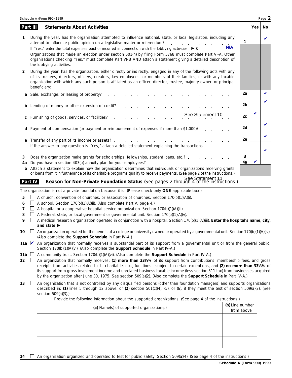|         |          | Schedule A (Form 990) 1999                                                                                                                                                                                                                                                                                                                                                                                                                                                                                                                                                                             |                               |     | Page 2 |
|---------|----------|--------------------------------------------------------------------------------------------------------------------------------------------------------------------------------------------------------------------------------------------------------------------------------------------------------------------------------------------------------------------------------------------------------------------------------------------------------------------------------------------------------------------------------------------------------------------------------------------------------|-------------------------------|-----|--------|
|         | Part III | <b>Statements About Activities</b>                                                                                                                                                                                                                                                                                                                                                                                                                                                                                                                                                                     |                               | Yes | No.    |
|         |          | During the year, has the organization attempted to influence national, state, or local legislation, including any<br>attempt to influence public opinion on a legislative matter or referendum?<br>and a state of the state of<br>If "Yes," enter the total expenses paid or incurred in connection with the lobbying activities ▶ \$ ____<br>Organizations that made an election under section 501(h) by filing Form 5768 must complete Part VI-A. Other<br>organizations checking "Yes," must complete Part VI-B AND attach a statement giving a detailed description of<br>the lobbying activities. | 1<br>N/A                      |     | V      |
| 2       |          | During the year, has the organization, either directly or indirectly, engaged in any of the following acts with any<br>of its trustees, directors, officers, creators, key employees, or members of their families, or with any taxable<br>organization with which any such person is affiliated as an officer, director, trustee, majority owner, or principal<br>beneficiary:                                                                                                                                                                                                                        |                               |     |        |
| a       |          | Sale, exchange, or leasing of property?<br>and a series of the contract of the contract of                                                                                                                                                                                                                                                                                                                                                                                                                                                                                                             | 2a                            |     |        |
| b       |          | Lending of money or other extension of credit? The contract of the contract of the contract of the contract of the contract of the contract of the contract of the contract of the contract of the contract of the contract of                                                                                                                                                                                                                                                                                                                                                                         | 2b                            |     | V      |
| С       |          | See Statement 10<br>Furnishing of goods, services, or facilities?                                                                                                                                                                                                                                                                                                                                                                                                                                                                                                                                      | 2с                            | V   |        |
| d       |          | Payment of compensation (or payment or reimbursement of expenses if more than \$1,000)?                                                                                                                                                                                                                                                                                                                                                                                                                                                                                                                | 2d                            |     | V      |
|         |          | If the answer to any question is "Yes," attach a detailed statement explaining the transactions.                                                                                                                                                                                                                                                                                                                                                                                                                                                                                                       | 2e                            |     | V      |
| 3<br>4a |          | Does the organization make grants for scholarships, fellowships, student loans, etc.?<br>Attach a statement to explain how the organization determines that individuals or organizations receiving grants                                                                                                                                                                                                                                                                                                                                                                                              | 3<br>4a                       |     | ✔      |
| b       |          | or loans from it in furtherance of its charitable programs qualify to receive payments. (See page 2 of the instructions.)                                                                                                                                                                                                                                                                                                                                                                                                                                                                              |                               |     |        |
|         | Part IV  | Reason for Non-Private Foundation Status (See pages 2 through 4 of the instructions.)                                                                                                                                                                                                                                                                                                                                                                                                                                                                                                                  |                               |     |        |
|         |          | The organization is not a private foundation because it is: (Please check only ONE applicable box.)                                                                                                                                                                                                                                                                                                                                                                                                                                                                                                    |                               |     |        |
| 5<br>6  |          | A church, convention of churches, or association of churches. Section 170(b)(1)(A)(i).<br>A school. Section 170(b)(1)(A)(ii). (Also complete Part V, page 4.)                                                                                                                                                                                                                                                                                                                                                                                                                                          |                               |     |        |
| 7       |          | A hospital or a cooperative hospital service organization. Section 170(b)(1)(A)(iii).                                                                                                                                                                                                                                                                                                                                                                                                                                                                                                                  |                               |     |        |
| 8       |          | A Federal, state, or local government or governmental unit. Section 170(b)(1)(A)(v).                                                                                                                                                                                                                                                                                                                                                                                                                                                                                                                   |                               |     |        |
| 9       |          | A medical research organization operated in conjunction with a hospital. Section 170(b)(1)(A)(iii). Enter the hospital's name, city,                                                                                                                                                                                                                                                                                                                                                                                                                                                                   |                               |     |        |
| 10      |          | $\Box$ An organization operated for the benefit of a college or university owned or operated by a governmental unit. Section 170(b)(1)(A)(iv).<br>(Also complete the Support Schedule in Part IV-A.)                                                                                                                                                                                                                                                                                                                                                                                                   |                               |     |        |
|         |          | 11a An organization that normally receives a substantial part of its support from a governmental unit or from the general public.<br>Section 170(b)(1)(A)(vi). (Also complete the Support Schedule in Part IV-A.)                                                                                                                                                                                                                                                                                                                                                                                      |                               |     |        |
|         |          | 11b $\Box$ A community trust. Section 170(b)(1)(A)(vi). (Also complete the <b>Support Schedule</b> in Part IV-A.)                                                                                                                                                                                                                                                                                                                                                                                                                                                                                      |                               |     |        |
| 12      | $\Box$   | An organization that normally receives: (1) more than 331/ <sub>3</sub> % of its support from contributions, membership fees, and gross<br>receipts from activities related to its charitable, etc., functions-subject to certain exceptions, and (2) no more than 331/3% of<br>its support from gross investment income and unrelated business taxable income (less section 511 tax) from businesses acquired<br>by the organization after June 30, 1975. See section 509(a)(2). (Also complete the Support Schedule in Part IV-A.)                                                                   |                               |     |        |
| 13      | ப        | An organization that is not controlled by any disqualified persons (other than foundation managers) and supports organizations<br>described in: (1) lines 5 through 12 above; or (2) section 501(c)(4), (5), or (6), if they meet the test of section 509(a)(2). (See<br>section 509(a)(3).)                                                                                                                                                                                                                                                                                                           |                               |     |        |
|         |          | Provide the following information about the supported organizations. (See page 4 of the instructions.)                                                                                                                                                                                                                                                                                                                                                                                                                                                                                                 |                               |     |        |
|         |          | (a) Name(s) of supported organization(s)                                                                                                                                                                                                                                                                                                                                                                                                                                                                                                                                                               | (b) Line number<br>from above |     |        |
|         |          |                                                                                                                                                                                                                                                                                                                                                                                                                                                                                                                                                                                                        |                               |     |        |
|         |          |                                                                                                                                                                                                                                                                                                                                                                                                                                                                                                                                                                                                        |                               |     |        |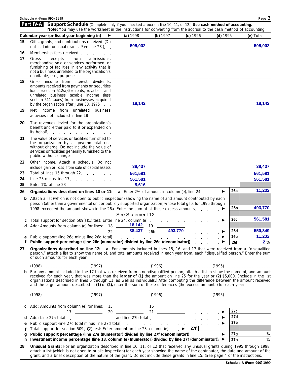|        | <b>Part IV-A</b> Support Schedule (Complete only if you checked a box on line 10, 11, or 12.) Use cash method of accounting.<br>Note: You may use the worksheet in the instructions for converting from the accrual to the cash method of accounting.                                                                                                                                                                                                                                                                                    |                  |                    |          |          |            |           |
|--------|------------------------------------------------------------------------------------------------------------------------------------------------------------------------------------------------------------------------------------------------------------------------------------------------------------------------------------------------------------------------------------------------------------------------------------------------------------------------------------------------------------------------------------------|------------------|--------------------|----------|----------|------------|-----------|
|        | Calendar year (or fiscal year beginning in) ▶                                                                                                                                                                                                                                                                                                                                                                                                                                                                                            | (a) 1998         | (b) $1997$         | (c) 1996 | (d) 1995 |            | (e) Total |
| 15     | Gifts, grants, and contributions received. (Do                                                                                                                                                                                                                                                                                                                                                                                                                                                                                           |                  |                    |          |          |            |           |
|        | not include unusual grants. See line 28.).                                                                                                                                                                                                                                                                                                                                                                                                                                                                                               | 505,002          |                    |          |          |            | 505,002   |
| 16     | Membership fees received                                                                                                                                                                                                                                                                                                                                                                                                                                                                                                                 |                  |                    |          |          |            |           |
| 17     | from<br>admissions,<br>Gross<br>receipts<br>merchandise sold or services performed, or<br>furnishing of facilities in any activity that is<br>not a business unrelated to the organization's<br>charitable, etc., purpose                                                                                                                                                                                                                                                                                                                |                  |                    |          |          |            |           |
| 18     | Gross income from interest, dividends,<br>amounts received from payments on securities<br>loans (section 512(a)(5)), rents, royalties, and<br>unrelated business taxable income (less<br>section 511 taxes) from businesses acquired<br>by the organization after June 30, 1975                                                                                                                                                                                                                                                          | 18,142           |                    |          |          |            | 18,142    |
| 19     | Net income from unrelated<br>business<br>activities not included in line 18                                                                                                                                                                                                                                                                                                                                                                                                                                                              |                  |                    |          |          |            |           |
| 20     | Tax revenues levied for the organization's<br>benefit and either paid to it or expended on<br>its behalf.                                                                                                                                                                                                                                                                                                                                                                                                                                |                  |                    |          |          |            |           |
| 21     | The value of services or facilities furnished to<br>the organization by a governmental unit<br>without charge. Do not include the value of<br>services or facilities generally furnished to the<br>public without charge.                                                                                                                                                                                                                                                                                                                |                  |                    |          |          |            |           |
| 22     | Other income. Attach a schedule. Do not<br>include gain or (loss) from sale of capital assets                                                                                                                                                                                                                                                                                                                                                                                                                                            | 38,437           |                    |          |          |            | 38,437    |
| 23     | Total of lines 15 through 22.                                                                                                                                                                                                                                                                                                                                                                                                                                                                                                            | 561,581          |                    |          |          |            | 561,581   |
| 24     | Line 23 minus line 17. $\ldots$                                                                                                                                                                                                                                                                                                                                                                                                                                                                                                          | 561,581          |                    |          |          |            | 561,581   |
| 25     | Enter 1% of line 23 $\ldots$ $\ldots$ $\ldots$                                                                                                                                                                                                                                                                                                                                                                                                                                                                                           | 5,616            |                    |          |          |            |           |
| 26     | Organizations described on lines 10 or 11: $a$ Enter 2% of amount in column (e), line 24. $\blacktriangleright$                                                                                                                                                                                                                                                                                                                                                                                                                          |                  |                    |          |          | 26a        | 11,232    |
| b      | Attach a list (which is not open to public inspection) showing the name of and amount contributed by each<br>person (other than a governmental unit or publicly supported organization) whose total gifts for 1995 through<br>1998 exceeded the amount shown in line 26a. Enter the sum of all these excess amounts. $\ldots$ , $\blacktriangleright$                                                                                                                                                                                    |                  |                    |          |          | 26b        | 493,770   |
|        |                                                                                                                                                                                                                                                                                                                                                                                                                                                                                                                                          | See Statement 12 |                    |          |          |            |           |
| С      | Total support for section 509(a)(1) test: Enter line 24, column (e)<br>d Add: Amounts from column (e) for lines: 18 ______ 18,142                                                                                                                                                                                                                                                                                                                                                                                                        |                  |                    |          |          | 26c        | 561,581   |
|        |                                                                                                                                                                                                                                                                                                                                                                                                                                                                                                                                          |                  | 38,437 26b 493,770 |          |          | 26d        | 550,349   |
|        |                                                                                                                                                                                                                                                                                                                                                                                                                                                                                                                                          |                  |                    |          |          | 26e        | 11,232    |
|        | Public support percentage (line 26e (numerator) divided by line 26c (denominator)) ▶                                                                                                                                                                                                                                                                                                                                                                                                                                                     |                  |                    |          |          | 26f        | 2%        |
| 27     | Organizations described on line 12: a For amounts included in lines 15, 16, and 17 that were received from a "disqualified"<br>person," attach a list to show the name of, and total amounts received in each year from, each "disqualified person." Enter the sum<br>of such amounts for each year:                                                                                                                                                                                                                                     |                  |                    |          |          |            |           |
|        |                                                                                                                                                                                                                                                                                                                                                                                                                                                                                                                                          |                  |                    |          |          |            |           |
|        |                                                                                                                                                                                                                                                                                                                                                                                                                                                                                                                                          |                  |                    |          |          |            |           |
| b      | For any amount included in line 17 that was received from a nondisqualified person, attach a list to show the name of, and amount<br>received for each year, that was more than the larger of (1) the amount on line 25 for the year or (2) \$5,000. (Include in the list<br>organizations described in lines 5 through 11, as well as individuals.) After computing the difference between the amount received<br>and the larger amount described in (1) or (2), enter the sum of these differences (the excess amounts) for each year: |                  |                    |          |          |            |           |
|        |                                                                                                                                                                                                                                                                                                                                                                                                                                                                                                                                          |                  |                    |          |          |            |           |
|        | c Add: Amounts from column (e) for lines: 15 _____________ 16 ____________                                                                                                                                                                                                                                                                                                                                                                                                                                                               |                  |                    |          |          | 27c        |           |
| d      |                                                                                                                                                                                                                                                                                                                                                                                                                                                                                                                                          |                  |                    |          |          | 27d        |           |
| е      | Add: Line 27a total ( ( ) in the 27b total ( ) and line 27b total ( ) in the 27b total ( ) in the D                                                                                                                                                                                                                                                                                                                                                                                                                                      |                  |                    |          |          | 27e        |           |
|        | Total support for section 509(a)(2) test: Enter amount on line 23, column (e) $\overrightarrow{P}$   27f                                                                                                                                                                                                                                                                                                                                                                                                                                 |                  |                    |          |          |            |           |
| q<br>h | Public support percentage (line 27e (numerator) divided by line 27f (denominator)). ▶<br>Investment income percentage (line 18, column (e) (numerator) divided by line 27f (denominator)). ▶                                                                                                                                                                                                                                                                                                                                             |                  |                    |          |          | 27g<br>27h | $\%$<br>% |

grant, and a brief description of the nature of the grant. Do not include these grants in line 15. (See page 4 of the instructions.)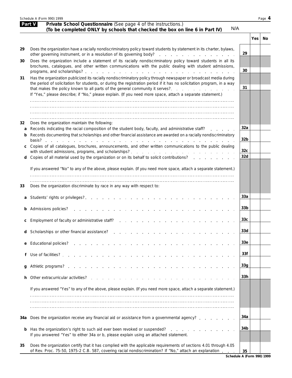|     | Schedule A (Form 990) 1999                                                                                                                                                                                                                                             |                        |     | Page 4 |
|-----|------------------------------------------------------------------------------------------------------------------------------------------------------------------------------------------------------------------------------------------------------------------------|------------------------|-----|--------|
|     | Part V<br>Private School Questionnaire (See page 4 of the instructions.)<br>N/A                                                                                                                                                                                        |                        |     |        |
|     | (To be completed ONLY by schools that checked the box on line 6 in Part IV)                                                                                                                                                                                            |                        |     |        |
|     |                                                                                                                                                                                                                                                                        |                        | Yes | No     |
| 29  | Does the organization have a racially nondiscriminatory policy toward students by statement in its charter, bylaws,                                                                                                                                                    | 29                     |     |        |
| 30  | Does the organization include a statement of its racially nondiscriminatory policy toward students in all its<br>brochures, catalogues, and other written communications with the public dealing with student admissions,                                              |                        |     |        |
|     |                                                                                                                                                                                                                                                                        | 30                     |     |        |
| 31  | Has the organization publicized its racially nondiscriminatory policy through newspaper or broadcast media during<br>the period of solicitation for students, or during the registration period if it has no solicitation program, in a way                            | 31                     |     |        |
|     | If "Yes," please describe; if "No," please explain. (If you need more space, attach a separate statement.)                                                                                                                                                             |                        |     |        |
|     |                                                                                                                                                                                                                                                                        |                        |     |        |
|     |                                                                                                                                                                                                                                                                        |                        |     |        |
| 32  | Does the organization maintain the following:                                                                                                                                                                                                                          |                        |     |        |
| a   | Records indicating the racial composition of the student body, faculty, and administrative staff?                                                                                                                                                                      | 32a                    |     |        |
| b   | Records documenting that scholarships and other financial assistance are awarded on a racially nondiscriminatory                                                                                                                                                       | 32 <sub>b</sub>        |     |        |
| C   | Copies of all catalogues, brochures, announcements, and other written communications to the public dealing                                                                                                                                                             |                        |     |        |
|     | Copies of all material used by the organization or on its behalf to solicit contributions?                                                                                                                                                                             | 32 <sub>c</sub><br>32d |     |        |
| d   |                                                                                                                                                                                                                                                                        |                        |     |        |
|     | If you answered "No" to any of the above, please explain. (If you need more space, attach a separate statement.)                                                                                                                                                       |                        |     |        |
|     |                                                                                                                                                                                                                                                                        |                        |     |        |
| 33  | Does the organization discriminate by race in any way with respect to:                                                                                                                                                                                                 |                        |     |        |
|     |                                                                                                                                                                                                                                                                        | 33a                    |     |        |
|     | <b>b</b> Admissions policies?<br>and a construction of the construction of the construction of the construction of the construction of the construction of the construction of the construction of the construction of the construction of the construction of         | 33 <sub>b</sub>        |     |        |
| С   | Employment of faculty or administrative staff?                                                                                                                                                                                                                         | 33 <sub>c</sub>        |     |        |
| d   | Scholarships or other financial assistance?                                                                                                                                                                                                                            | 33d                    |     |        |
| e   | <b>Educational policies?</b><br>the contract of the contract of the                                                                                                                                                                                                    | 33 <sub>e</sub>        |     |        |
|     | Use of facilities?                                                                                                                                                                                                                                                     | 33f                    |     |        |
| g   |                                                                                                                                                                                                                                                                        | 33g                    |     |        |
| h   | Other extracurricular activities?<br>$\mathbf{1}$ , and a set of the set of the set of the set of the set of the set of the set of the set of the set of the set of the set of the set of the set of the set of the set of the set of the set of the set of the set of | 33h                    |     |        |
|     | If you answered "Yes" to any of the above, please explain. (If you need more space, attach a separate statement.)                                                                                                                                                      |                        |     |        |
|     |                                                                                                                                                                                                                                                                        |                        |     |        |
|     |                                                                                                                                                                                                                                                                        |                        |     |        |
| 34a | Does the organization receive any financial aid or assistance from a governmental agency?                                                                                                                                                                              | 34a                    |     |        |
| b   | Has the organization's right to such aid ever been revoked or suspended?<br>and the company of the company of                                                                                                                                                          | 34b                    |     |        |
|     | If you answered "Yes" to either 34a or b, please explain using an attached statement.                                                                                                                                                                                  |                        |     |        |
| 35  | Does the organization certify that it has complied with the applicable requirements of sections 4.01 through 4.05<br>of Rev. Proc. 75-50, 1975-2 C.B. 587, covering racial nondiscrimination? If "No," attach an explanation                                           | 35                     |     |        |

**Schedule A (Form 990) 1999**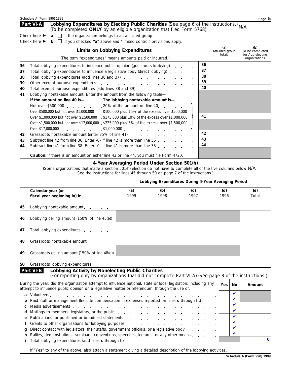| Schedule A (Form 990) 1999 |                                                                                                                                                                     | Page 5 |
|----------------------------|---------------------------------------------------------------------------------------------------------------------------------------------------------------------|--------|
| Part VI-A                  | Lobbying Expenditures by Electing Public Charities (See page 6 of the instructions.) N/A<br>(To be completed ONLY by an eligible organization that filed Form 5768) |        |
|                            | Check here $\triangleright$ <b>a</b> $\square$ if the organization belongs to an affiliated group.                                                                  |        |
|                            | Check here $\triangleright$ b $\square$ if you checked "a" above and "limited control" provisions apply.                                                            |        |
|                            |                                                                                                                                                                     |        |

|    | <b>Limits on Lobbying Expenditures</b>                                                                     |    | (a)<br>Affiliated group<br>totals | (b)<br>To be completed<br>for ALL electing |
|----|------------------------------------------------------------------------------------------------------------|----|-----------------------------------|--------------------------------------------|
|    | (The term "expenditures" means amounts paid or incurred.)                                                  |    |                                   | organizations                              |
| 36 | Total lobbying expenditures to influence public opinion (grassroots lobbying)                              | 36 |                                   |                                            |
| 37 | Total lobbying expenditures to influence a legislative body (direct lobbying)                              | 37 |                                   |                                            |
| 38 | Total lobbying expenditures (add lines 36 and 37)                                                          | 38 |                                   |                                            |
| 39 |                                                                                                            | 39 |                                   |                                            |
| 40 | Total exempt purpose expenditures (add lines 38 and 39).                                                   | 40 |                                   |                                            |
| 41 | Lobbying nontaxable amount. Enter the amount from the following table—                                     |    |                                   |                                            |
|    | If the amount on line 40 is — The lobbying nontaxable amount is—                                           |    |                                   |                                            |
|    |                                                                                                            |    |                                   |                                            |
|    | Over \$500,000 but not over \$1,000,000 . \$100,000 plus 15% of the excess over \$500,000                  |    |                                   |                                            |
|    | Over \$1,000,000 but not over \$1,500,000 \$175,000 plus 10% of the excess over \$1,000,000                | 41 |                                   |                                            |
|    | Over \$1,500,000 but not over \$17,000,000 \$225,000 plus 5% of the excess over \$1,500,000                |    |                                   |                                            |
|    |                                                                                                            |    |                                   |                                            |
| 42 | Grassroots nontaxable amount (enter 25% of line 41)                                                        | 42 |                                   |                                            |
| 43 | Subtract line 42 from line 36. Enter -0- if line 42 is more than line 36                                   | 43 |                                   |                                            |
| 44 | Subtract line 41 from line 38. Enter -0- if line 41 is more than line 38 residence in the 41 from line 38. | 44 |                                   |                                            |
|    | <b>Caution:</b> If there is an amount on either line 43 or line 44, you must file Form 4720.               |    |                                   |                                            |

### **4-Year Averaging Period Under Section 501(h)**

(Some organizations that made a section 501(h) election do not have to complete all of the five columns below. N/ASee the instructions for lines 45 through 50 on page 7 of the instructions.)

|    |                                                                                                                                                                                                                  |             |             | Lobbying Expenditures During 4-Year Averaging Period |             |                    |              |
|----|------------------------------------------------------------------------------------------------------------------------------------------------------------------------------------------------------------------|-------------|-------------|------------------------------------------------------|-------------|--------------------|--------------|
|    | Calendar year (or<br>fiscal year beginning in) ▶                                                                                                                                                                 | (a)<br>1999 | (b)<br>1998 | (c)<br>1997                                          | (d)<br>1996 |                    | (e)<br>Total |
| 45 | Lobbying nontaxable amount.                                                                                                                                                                                      |             |             |                                                      |             |                    |              |
| 46 | Lobbying ceiling amount (150% of line 45(e)).                                                                                                                                                                    |             |             |                                                      |             |                    |              |
| 47 | Total lobbying expenditures                                                                                                                                                                                      |             |             |                                                      |             |                    |              |
| 48 | Grassroots nontaxable amount                                                                                                                                                                                     |             |             |                                                      |             |                    |              |
| 49 | Grassroots ceiling amount (150% of line 48(e))                                                                                                                                                                   |             |             |                                                      |             |                    |              |
| 50 | Grassroots lobbying expenditures                                                                                                                                                                                 |             |             |                                                      |             |                    |              |
|    | Lobbying Activity by Nonelecting Public Charities<br>Part VI-B<br>(For reporting only by organizations that did not complete Part VI-A) (See page 8 of the instructions.)                                        |             |             |                                                      |             |                    |              |
|    | During the year, did the organization attempt to influence national, state or local legislation, including any<br>attempt to influence public opinion on a legislative matter or referendum, through the use of: |             |             |                                                      | Yes         | <b>No</b>          | Amount       |
| a  |                                                                                                                                                                                                                  |             |             |                                                      |             | $\mathbf v$        |              |
|    | Paid staff or management (include compensation in expenses reported on lines c through h.)                                                                                                                       |             |             |                                                      |             | $\boldsymbol{\nu}$ |              |
| С  |                                                                                                                                                                                                                  |             |             |                                                      |             | $\boldsymbol{\nu}$ |              |
| d  |                                                                                                                                                                                                                  |             |             |                                                      |             | $\mathbf{v}$       |              |
|    | a. Dublications, as mubliched as becodes of ototoments.                                                                                                                                                          |             |             |                                                      |             | $\mathbf{v}$       |              |

| e Publications, or published or broadcast statements expansion of $\Box$                                                |  |  |
|-------------------------------------------------------------------------------------------------------------------------|--|--|
|                                                                                                                         |  |  |
| <b>q</b> Direct contact with legislators, their staffs, government officials, or a legislative body $\ldots$ , $\ldots$ |  |  |
| <b>h</b> Rallies, demonstrations, seminars, conventions, speeches, lectures, or any other means $\ldots$ , $\ldots$     |  |  |
|                                                                                                                         |  |  |

If "Yes" to any of the above, also attach a statement giving a detailed description of the lobbying activities.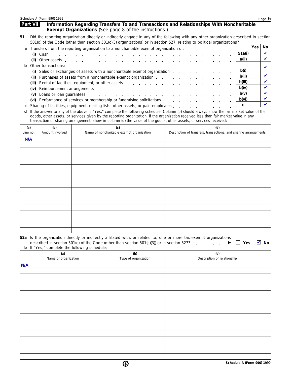| Schedule A (Form 990) 1999 | Page O |
|----------------------------|--------|
|----------------------------|--------|

|            | Part VII        |                             |                                                     | <b>Exempt Organizations</b> (See page 8 of the instructions.)                                                                                                                                                                                                                                                                                                                                                                                                                                                                                                                                                                                                                                                                                                                                                                                                                                                                                                                   | Information Regarding Transfers To and Transactions and Relationships With Noncharitable                                                                                                                                                                         |     |             |
|------------|-----------------|-----------------------------|-----------------------------------------------------|---------------------------------------------------------------------------------------------------------------------------------------------------------------------------------------------------------------------------------------------------------------------------------------------------------------------------------------------------------------------------------------------------------------------------------------------------------------------------------------------------------------------------------------------------------------------------------------------------------------------------------------------------------------------------------------------------------------------------------------------------------------------------------------------------------------------------------------------------------------------------------------------------------------------------------------------------------------------------------|------------------------------------------------------------------------------------------------------------------------------------------------------------------------------------------------------------------------------------------------------------------|-----|-------------|
| 51         |                 |                             |                                                     |                                                                                                                                                                                                                                                                                                                                                                                                                                                                                                                                                                                                                                                                                                                                                                                                                                                                                                                                                                                 | Did the reporting organization directly or indirectly engage in any of the following with any other organization described in section<br>501(c) of the Code (other than section 501(c)(3) organizations) or in section 527, relating to political organizations? |     |             |
| a          |                 |                             |                                                     | Transfers from the reporting organization to a noncharitable exempt organization of:                                                                                                                                                                                                                                                                                                                                                                                                                                                                                                                                                                                                                                                                                                                                                                                                                                                                                            |                                                                                                                                                                                                                                                                  | Yes | No          |
|            |                 | Cash                        |                                                     | de la participat de la participat de la participat de la participat de la participat de la participat de la participat de la                                                                                                                                                                                                                                                                                                                                                                                                                                                                                                                                                                                                                                                                                                                                                                                                                                                    | 51a(i)                                                                                                                                                                                                                                                           |     | V           |
|            | (ii)            |                             |                                                     | Other assets in the contract of the contract of the contract of the contract of the contract of the contract of the contract of the contract of the contract of the contract of the contract of the contract of the contract o                                                                                                                                                                                                                                                                                                                                                                                                                                                                                                                                                                                                                                                                                                                                                  | a(ii)                                                                                                                                                                                                                                                            |     | $\mathbf v$ |
| b          |                 | Other transactions:         |                                                     |                                                                                                                                                                                                                                                                                                                                                                                                                                                                                                                                                                                                                                                                                                                                                                                                                                                                                                                                                                                 |                                                                                                                                                                                                                                                                  |     |             |
|            |                 |                             |                                                     | Sales or exchanges of assets with a noncharitable exempt organization                                                                                                                                                                                                                                                                                                                                                                                                                                                                                                                                                                                                                                                                                                                                                                                                                                                                                                           | b(i)                                                                                                                                                                                                                                                             |     | V           |
|            |                 |                             |                                                     |                                                                                                                                                                                                                                                                                                                                                                                                                                                                                                                                                                                                                                                                                                                                                                                                                                                                                                                                                                                 |                                                                                                                                                                                                                                                                  |     | V           |
|            | (iii)           |                             |                                                     |                                                                                                                                                                                                                                                                                                                                                                                                                                                                                                                                                                                                                                                                                                                                                                                                                                                                                                                                                                                 |                                                                                                                                                                                                                                                                  |     | V           |
|            | (iv)            |                             |                                                     |                                                                                                                                                                                                                                                                                                                                                                                                                                                                                                                                                                                                                                                                                                                                                                                                                                                                                                                                                                                 |                                                                                                                                                                                                                                                                  |     | V           |
|            | (v)             |                             |                                                     |                                                                                                                                                                                                                                                                                                                                                                                                                                                                                                                                                                                                                                                                                                                                                                                                                                                                                                                                                                                 |                                                                                                                                                                                                                                                                  |     | V           |
|            |                 |                             |                                                     |                                                                                                                                                                                                                                                                                                                                                                                                                                                                                                                                                                                                                                                                                                                                                                                                                                                                                                                                                                                 |                                                                                                                                                                                                                                                                  |     | V           |
|            |                 |                             |                                                     |                                                                                                                                                                                                                                                                                                                                                                                                                                                                                                                                                                                                                                                                                                                                                                                                                                                                                                                                                                                 |                                                                                                                                                                                                                                                                  |     | ✓           |
| d          |                 |                             |                                                     |                                                                                                                                                                                                                                                                                                                                                                                                                                                                                                                                                                                                                                                                                                                                                                                                                                                                                                                                                                                 |                                                                                                                                                                                                                                                                  |     |             |
|            |                 |                             |                                                     |                                                                                                                                                                                                                                                                                                                                                                                                                                                                                                                                                                                                                                                                                                                                                                                                                                                                                                                                                                                 |                                                                                                                                                                                                                                                                  |     |             |
|            | (a)<br>Line no. | (b)<br>Amount involved      |                                                     | (c)                                                                                                                                                                                                                                                                                                                                                                                                                                                                                                                                                                                                                                                                                                                                                                                                                                                                                                                                                                             | (d)                                                                                                                                                                                                                                                              |     |             |
|            | N/A             |                             |                                                     |                                                                                                                                                                                                                                                                                                                                                                                                                                                                                                                                                                                                                                                                                                                                                                                                                                                                                                                                                                                 |                                                                                                                                                                                                                                                                  |     |             |
|            |                 |                             |                                                     |                                                                                                                                                                                                                                                                                                                                                                                                                                                                                                                                                                                                                                                                                                                                                                                                                                                                                                                                                                                 |                                                                                                                                                                                                                                                                  |     |             |
|            |                 |                             |                                                     |                                                                                                                                                                                                                                                                                                                                                                                                                                                                                                                                                                                                                                                                                                                                                                                                                                                                                                                                                                                 |                                                                                                                                                                                                                                                                  |     |             |
|            |                 |                             |                                                     |                                                                                                                                                                                                                                                                                                                                                                                                                                                                                                                                                                                                                                                                                                                                                                                                                                                                                                                                                                                 |                                                                                                                                                                                                                                                                  |     |             |
|            |                 |                             |                                                     | b(ii)<br>Purchases of assets from a noncharitable exempt organization entitled as a set of assets from a noncharitable exempt organization<br>b(iii)<br>Rental of facilities, equipment, or other assets entitled assets<br>b(iv)<br>Reimbursement arrangements<br>b(v)<br>b(vi)<br>(vi) Performance of services or membership or fundraising solicitations<br>C<br>Sharing of facilities, equipment, mailing lists, other assets, or paid employees<br>If the answer to any of the above is "Yes," complete the following schedule. Column (b) should always show the fair market value of the<br>goods, other assets, or services given by the reporting organization. If the organization received less than fair market value in any<br>transaction or sharing arrangement, show in column (d) the value of the goods, other assets, or services received:<br>Description of transfers, transactions, and sharing arrangements<br>Name of noncharitable exempt organization |                                                                                                                                                                                                                                                                  |     |             |
|            |                 |                             |                                                     |                                                                                                                                                                                                                                                                                                                                                                                                                                                                                                                                                                                                                                                                                                                                                                                                                                                                                                                                                                                 |                                                                                                                                                                                                                                                                  |     |             |
|            |                 |                             |                                                     |                                                                                                                                                                                                                                                                                                                                                                                                                                                                                                                                                                                                                                                                                                                                                                                                                                                                                                                                                                                 |                                                                                                                                                                                                                                                                  |     |             |
|            |                 |                             |                                                     |                                                                                                                                                                                                                                                                                                                                                                                                                                                                                                                                                                                                                                                                                                                                                                                                                                                                                                                                                                                 |                                                                                                                                                                                                                                                                  |     |             |
|            |                 |                             |                                                     |                                                                                                                                                                                                                                                                                                                                                                                                                                                                                                                                                                                                                                                                                                                                                                                                                                                                                                                                                                                 |                                                                                                                                                                                                                                                                  |     |             |
|            |                 |                             |                                                     |                                                                                                                                                                                                                                                                                                                                                                                                                                                                                                                                                                                                                                                                                                                                                                                                                                                                                                                                                                                 |                                                                                                                                                                                                                                                                  |     |             |
|            |                 |                             |                                                     |                                                                                                                                                                                                                                                                                                                                                                                                                                                                                                                                                                                                                                                                                                                                                                                                                                                                                                                                                                                 |                                                                                                                                                                                                                                                                  |     |             |
|            |                 |                             |                                                     |                                                                                                                                                                                                                                                                                                                                                                                                                                                                                                                                                                                                                                                                                                                                                                                                                                                                                                                                                                                 |                                                                                                                                                                                                                                                                  |     |             |
|            |                 |                             |                                                     |                                                                                                                                                                                                                                                                                                                                                                                                                                                                                                                                                                                                                                                                                                                                                                                                                                                                                                                                                                                 |                                                                                                                                                                                                                                                                  |     |             |
|            |                 |                             |                                                     |                                                                                                                                                                                                                                                                                                                                                                                                                                                                                                                                                                                                                                                                                                                                                                                                                                                                                                                                                                                 |                                                                                                                                                                                                                                                                  |     |             |
|            |                 |                             |                                                     |                                                                                                                                                                                                                                                                                                                                                                                                                                                                                                                                                                                                                                                                                                                                                                                                                                                                                                                                                                                 |                                                                                                                                                                                                                                                                  |     |             |
|            |                 |                             |                                                     |                                                                                                                                                                                                                                                                                                                                                                                                                                                                                                                                                                                                                                                                                                                                                                                                                                                                                                                                                                                 |                                                                                                                                                                                                                                                                  |     |             |
|            |                 |                             |                                                     |                                                                                                                                                                                                                                                                                                                                                                                                                                                                                                                                                                                                                                                                                                                                                                                                                                                                                                                                                                                 |                                                                                                                                                                                                                                                                  |     |             |
|            |                 |                             | <b>b</b> If "Yes," complete the following schedule: | described in section 501(c) of the Code (other than section 501(c)(3)) or in section 527?                                                                                                                                                                                                                                                                                                                                                                                                                                                                                                                                                                                                                                                                                                                                                                                                                                                                                       | 52a Is the organization directly or indirectly affiliated with, or related to, one or more tax-exempt organizations<br>$\Box$ Yes<br>$\mathbf{r}$ and $\mathbf{r}$ and $\mathbf{r}$                                                                              |     | $\vee$ No   |
|            |                 | (a)<br>Name of organization |                                                     | (b)<br>Type of organization                                                                                                                                                                                                                                                                                                                                                                                                                                                                                                                                                                                                                                                                                                                                                                                                                                                                                                                                                     | (c)<br>Description of relationship                                                                                                                                                                                                                               |     |             |
| <b>N/A</b> |                 |                             |                                                     |                                                                                                                                                                                                                                                                                                                                                                                                                                                                                                                                                                                                                                                                                                                                                                                                                                                                                                                                                                                 |                                                                                                                                                                                                                                                                  |     |             |
|            |                 |                             |                                                     |                                                                                                                                                                                                                                                                                                                                                                                                                                                                                                                                                                                                                                                                                                                                                                                                                                                                                                                                                                                 |                                                                                                                                                                                                                                                                  |     |             |
|            |                 |                             |                                                     |                                                                                                                                                                                                                                                                                                                                                                                                                                                                                                                                                                                                                                                                                                                                                                                                                                                                                                                                                                                 |                                                                                                                                                                                                                                                                  |     |             |
|            |                 |                             |                                                     |                                                                                                                                                                                                                                                                                                                                                                                                                                                                                                                                                                                                                                                                                                                                                                                                                                                                                                                                                                                 |                                                                                                                                                                                                                                                                  |     |             |
|            |                 |                             |                                                     |                                                                                                                                                                                                                                                                                                                                                                                                                                                                                                                                                                                                                                                                                                                                                                                                                                                                                                                                                                                 |                                                                                                                                                                                                                                                                  |     |             |
|            |                 |                             |                                                     |                                                                                                                                                                                                                                                                                                                                                                                                                                                                                                                                                                                                                                                                                                                                                                                                                                                                                                                                                                                 |                                                                                                                                                                                                                                                                  |     |             |
|            |                 |                             |                                                     |                                                                                                                                                                                                                                                                                                                                                                                                                                                                                                                                                                                                                                                                                                                                                                                                                                                                                                                                                                                 |                                                                                                                                                                                                                                                                  |     |             |
|            |                 |                             |                                                     |                                                                                                                                                                                                                                                                                                                                                                                                                                                                                                                                                                                                                                                                                                                                                                                                                                                                                                                                                                                 |                                                                                                                                                                                                                                                                  |     |             |
|            |                 |                             |                                                     |                                                                                                                                                                                                                                                                                                                                                                                                                                                                                                                                                                                                                                                                                                                                                                                                                                                                                                                                                                                 |                                                                                                                                                                                                                                                                  |     |             |
|            |                 |                             |                                                     |                                                                                                                                                                                                                                                                                                                                                                                                                                                                                                                                                                                                                                                                                                                                                                                                                                                                                                                                                                                 |                                                                                                                                                                                                                                                                  |     |             |
|            |                 |                             |                                                     |                                                                                                                                                                                                                                                                                                                                                                                                                                                                                                                                                                                                                                                                                                                                                                                                                                                                                                                                                                                 |                                                                                                                                                                                                                                                                  |     |             |
|            |                 |                             |                                                     |                                                                                                                                                                                                                                                                                                                                                                                                                                                                                                                                                                                                                                                                                                                                                                                                                                                                                                                                                                                 |                                                                                                                                                                                                                                                                  |     |             |
|            |                 |                             |                                                     |                                                                                                                                                                                                                                                                                                                                                                                                                                                                                                                                                                                                                                                                                                                                                                                                                                                                                                                                                                                 |                                                                                                                                                                                                                                                                  |     |             |
|            |                 |                             |                                                     |                                                                                                                                                                                                                                                                                                                                                                                                                                                                                                                                                                                                                                                                                                                                                                                                                                                                                                                                                                                 |                                                                                                                                                                                                                                                                  |     |             |
|            |                 |                             |                                                     |                                                                                                                                                                                                                                                                                                                                                                                                                                                                                                                                                                                                                                                                                                                                                                                                                                                                                                                                                                                 |                                                                                                                                                                                                                                                                  |     |             |
|            |                 |                             |                                                     |                                                                                                                                                                                                                                                                                                                                                                                                                                                                                                                                                                                                                                                                                                                                                                                                                                                                                                                                                                                 |                                                                                                                                                                                                                                                                  |     |             |
|            |                 |                             |                                                     |                                                                                                                                                                                                                                                                                                                                                                                                                                                                                                                                                                                                                                                                                                                                                                                                                                                                                                                                                                                 |                                                                                                                                                                                                                                                                  |     |             |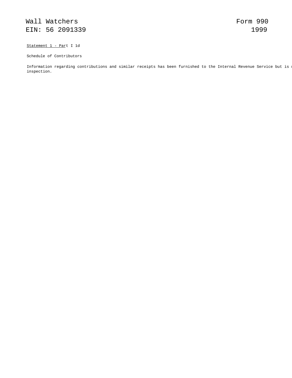Statement 1 - Part I 1d

Schedule of Contributors

Information regarding contributions and similar receipts has been furnished to the Internal Revenue Service but is n inspection.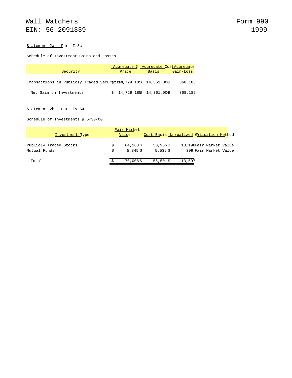#### Statement 2a - Part I 8c

Schedule of Investment Gains and Losses

|                                                                     | Aggregate & Aggregate CostAggregate |       |           |
|---------------------------------------------------------------------|-------------------------------------|-------|-----------|
| Security                                                            | Price                               | Basis | Gain/Loss |
| Transactions in Publicly Traded Securstiles, 729, 185 14, 361, 00\$ |                                     |       | 368,185   |
| Net Gain on Investments                                             | $$14,729,18\$ \$ 14,361,00\$        |       | 368,185   |

### Statement 2b - Part IV 54

Schedule of Investments @ 6/30/00

|                                        | Fair Market            |                           |                                         |                                                  |
|----------------------------------------|------------------------|---------------------------|-----------------------------------------|--------------------------------------------------|
| Investment Type                        | Value                  |                           | Cost Basis Unrealized GV&luation Method |                                                  |
| Publicly Traded Stocks<br>Mutual Funds | 64,163\$<br>$5.845$ \$ | $50,965$ \$<br>$5,536$ \$ |                                         | 13,198Fair Market Value<br>309 Fair Market Value |
| Total                                  | $70,008$ \$            | $56,501$ \$               | 13,507                                  |                                                  |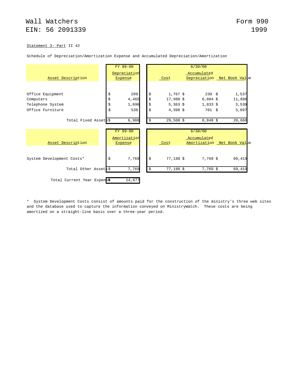#### Statement 3- Part II 42

|                           |    | FY 99-00                |                   | 6/30/00                     |        |
|---------------------------|----|-------------------------|-------------------|-----------------------------|--------|
|                           |    | Depreciation            |                   | Accumulated                 |        |
| Asset Description         |    | <b>Expense</b>          | Cost              | Depreciation Net Book Value |        |
|                           |    |                         |                   |                             |        |
| Office Equipment          | \$ | 209                     | \$<br>$1,767$ \$  | $230 \frac{1}{5}$           | 1,537  |
| Computers                 | \$ | 4,465                   | \$<br>17,980 \$   | $6,084$ \$                  | 11,896 |
| Telephone System          | \$ | 1,696                   | \$<br>$5,363$ \$  | $1,833$ \$                  | 3,530  |
| Office Furniture          | \$ | 538                     | \$<br>$4,398$ \$  | 701S                        | 3,697  |
| Total Fixed Assets\$      |    | 6,908                   | \$<br>$29,508$ \$ | $8,848$ \$                  | 20,660 |
|                           |    | FY 99-00                |                   | 6/30/00                     |        |
|                           |    |                         |                   | Accumulated                 |        |
| Asset Description         |    | Amortization<br>Expense | Cost              |                             |        |
|                           |    |                         |                   | Amortization Net Book Value |        |
| System Development Costs* | Ŝ  | 7,769                   | \$<br>$77,188$ \$ | 7,769 \$                    | 69,419 |
| Total Other Assets\$      |    | 7,769                   | \$<br>77,188 \$   | 7,769 \$                    | 69,419 |

Schedule of Depreciation/Amortization Expense and Accumulated Depreciation/Amortization

\* System Development Costs consist of amounts paid for the construction of the ministry's three web sites and the database used to capture the information conveyed on MinistryWatch. These costs are being amortized on a straight-line basis over a three-year period.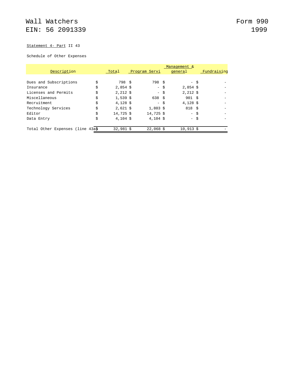### Statement 4- Part II 43

### Schedule of Other Expenses

|                                  |                  |                   | Management & |             |
|----------------------------------|------------------|-------------------|--------------|-------------|
| Description                      | Total            | Program Servi     | general      | Fundraising |
|                                  |                  |                   |              |             |
| Dues and Subscriptions           | \$<br>798 \$     | 798 S             | $-$ \$       |             |
| Insurance                        | \$<br>$2,854$ \$ | $-$ \$            | $2,854$ \$   |             |
| Licenses and Permits             | \$<br>$2,212$ \$ | $-$ \$            | $2,212$ \$   |             |
| Miscellaneous                    | \$<br>$1,539$ \$ | 638S              | 901S         |             |
| Recruitment                      | \$<br>$4,128$ \$ | $-$ \$            | $4,128$ \$   |             |
| Technology Services              | \$<br>$2,621$ \$ | $1,803$ \$        | 818S         |             |
| Editor                           | \$<br>14,725 \$  | 14,725 \$         | $-$ \$       |             |
| Data Entry                       | \$<br>$4,104$ \$ | $4.104 \text{ s}$ | $-$ \$       |             |
|                                  |                  |                   |              |             |
| Total Other Expenses (line 43a\$ | $32,981$ \$      | $22,068$ \$       | $10,913$ \$  |             |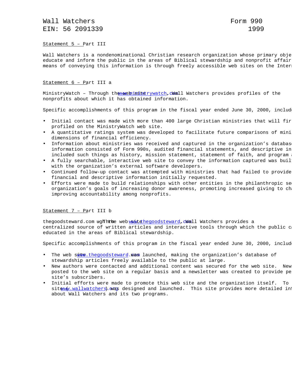Wall Watchers **Form** 990 EIN: 56 2091339 1999

Statement 5 – Part III

Wall Watchers is a nondenominational Christian research organization whose primary obje educate and inform the public in the areas of Biblical stewardship and nonprofit affair means of conveying this information is through freely accessible web sites on the Inter

#### Statement 6 – Part III a

MinistryWatch - Through the www.eb is ite rywatch, Wall Watchers provides profiles of the nonprofits about which it has obtained information.

Specific accomplishments of this program in the fiscal year ended June 30, 2000, includ

- Initial contact was made with more than 400 large Christian ministries that will fir profiled on the MinistryWatch web site.
- A quantitative ratings system was developed to facilitate future comparisons of mini dimensions of financial efficiency.
- Information about ministries was received and captured in the organization's databas information consisted of Form 990s, audited financial statements, and descriptive in included such things as history, mission statement, statement of faith, and program
- A fully searchable, interactive web site to convey the information captured was buil with the organization's external software developers.
- Continued follow-up contact was attempted with ministries that had failed to provide financial and descriptive information initially requested.
- Efforts were made to build relationships with other entities in the philanthropic sec organization's goals of increasing donor awareness, promoting increased giving to ch improving accountability among nonprofits.

#### Statement 7 – Part III b

thegoodsteward.com ugh hthe web want the goodsteward.cwall Watchers provides a centralized source of written articles and interactive tools through which the public c educated in the areas of Biblical stewardship.

Specific accomplishments of this program in the fiscal year ended June 30, 2000, includ

- The web siteral thegoodsteward.was launched, making the organization's database of stewardship articles freely available to the public at large.
- New authors were contacted and additional content was secured for the web site. New posted to the web site on a regular basis and a newsletter was created to provide pe site's subscribers.
- Initial efforts were made to promote this web site and the organization itself. To site w/w.wallwatchers) was designed and launched. This site provides more detailed in about Wall Watchers and its two programs.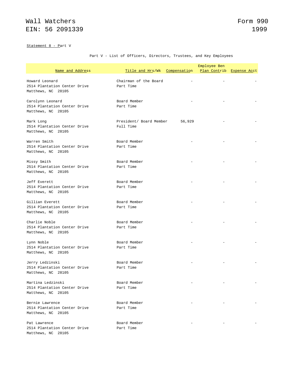### Statement 8 - Part V

### Part V - List of Officers, Directors, Trustees, and Key Employees

|                                                                         | Employee Ben                         |        |              |                     |  |  |  |
|-------------------------------------------------------------------------|--------------------------------------|--------|--------------|---------------------|--|--|--|
| Name and Address                                                        | Title and Hrs/Wk Compensation        |        | Plan Contrib | <b>Expense Acct</b> |  |  |  |
| Howard Leonard<br>2514 Plantation Center Drive<br>Matthews, NC 28105    | Chairman of the Board<br>Part Time   |        |              |                     |  |  |  |
| Carolynn Leonard<br>2514 Plantation Center Drive<br>Matthews, NC 28105  | Board Member<br>Part Time            |        |              |                     |  |  |  |
| Mark Long<br>2514 Plantation Center Drive<br>Matthews, NC 28105         | President/ Board Member<br>Full Time | 56,929 |              |                     |  |  |  |
| Warren Smith<br>2514 Plantation Center Drive<br>Matthews, NC 28105      | Board Member<br>Part Time            |        |              |                     |  |  |  |
| Missy Smith<br>2514 Plantation Center Drive<br>Matthews, NC 28105       | Board Member<br>Part Time            |        |              |                     |  |  |  |
| Jeff Everett<br>2514 Plantation Center Drive<br>Matthews, NC 28105      | Board Member<br>Part Time            |        |              |                     |  |  |  |
| Gillian Everett<br>2514 Plantation Center Drive<br>Matthews, NC 28105   | Board Member<br>Part Time            |        |              |                     |  |  |  |
| Charlie Noble<br>2514 Plantation Center Drive<br>Matthews, NC 28105     | Board Member<br>Part Time            |        |              |                     |  |  |  |
| Lynn Noble<br>2514 Plantation Center Drive<br>Matthews, NC 28105        | Board Member<br>Part Time            |        |              |                     |  |  |  |
| Jerry Ledzinski<br>2514 Plantation Center Drive<br>Matthews, NC 28105   | Board Member<br>Part Time            |        |              |                     |  |  |  |
| Martina Ledzinski<br>2514 Plantation Center Drive<br>Matthews, NC 28105 | Board Member<br>Part Time            |        |              |                     |  |  |  |
| Bernie Lawrence<br>2514 Plantation Center Drive<br>Matthews, NC 28105   | Board Member<br>Part Time            |        |              |                     |  |  |  |
| Pat Lawrence<br>2514 Plantation Center Drive<br>Matthews, NC 28105      | Board Member<br>Part Time            |        |              |                     |  |  |  |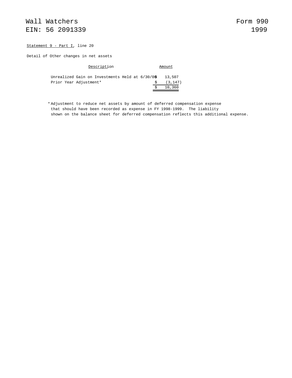#### Statement 9 - Part I, line 20

Detail of Other changes in net assets

| Description                                     | Amount   |  |  |
|-------------------------------------------------|----------|--|--|
| Unrealized Gain on Investments Held at 6/30/0\$ | 13,507   |  |  |
| Prior Year Adjustment*                          | (3, 147) |  |  |
|                                                 | 10,360   |  |  |

\* Adjustment to reduce net assets by amount of deferred compensation expense that should have been recorded as expense in FY 1998-1999. The liability shown on the balance sheet for deferred compensation reflects this additional expense.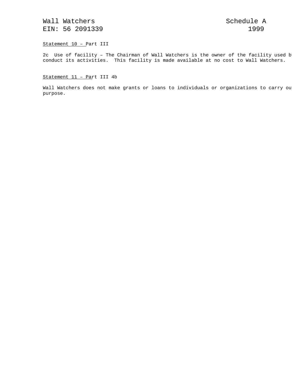Statement 10 – Part III

2c Use of facility - The Chairman of Wall Watchers is the owner of the facility used b conduct its activities. This facility is made available at no cost to Wall Watchers.

Statement 11 – Part III 4b

Wall Watchers does not make grants or loans to individuals or organizations to carry ou purpose.